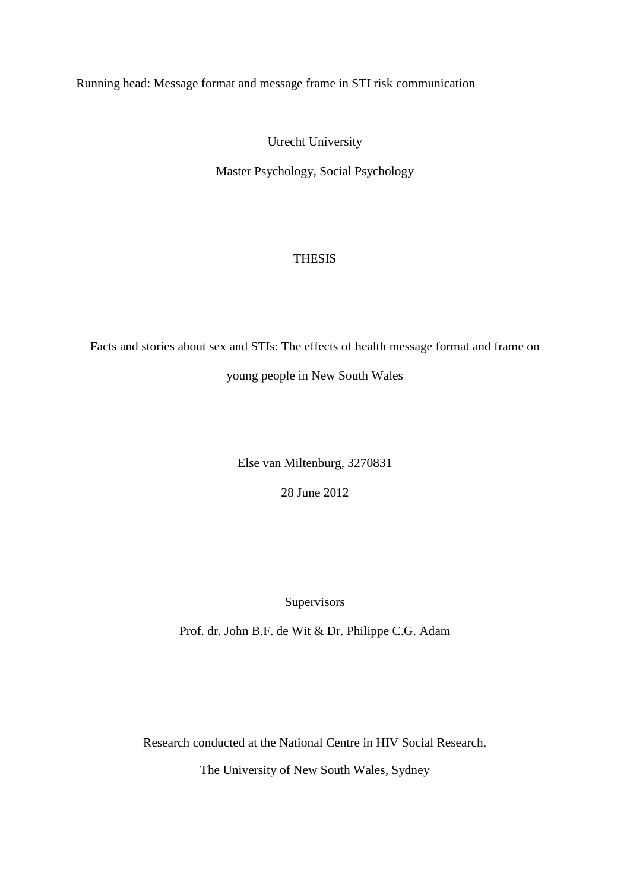Running head: Message format and message frame in STI risk communication

Utrecht University

Master Psychology, Social Psychology

# THESIS

Facts and stories about sex and STIs: The effects of health message format and frame on young people in New South Wales

Else van Miltenburg, 3270831

28 June 2012

**Supervisors** 

Prof. dr. John B.F. de Wit & Dr. Philippe C.G. Adam

Research conducted at the National Centre in HIV Social Research,

The University of New South Wales, Sydney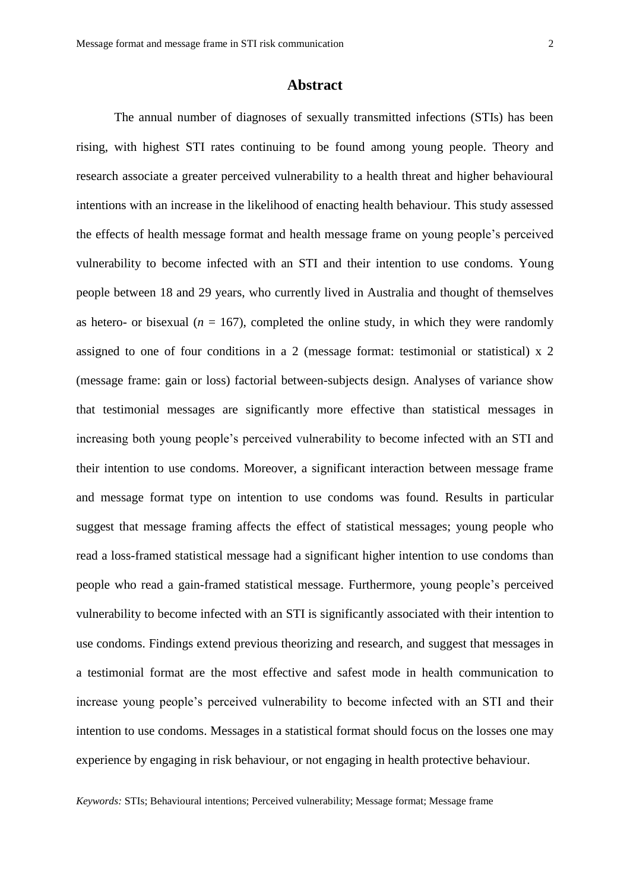### **Abstract**

The annual number of diagnoses of sexually transmitted infections (STIs) has been rising, with highest STI rates continuing to be found among young people. Theory and research associate a greater perceived vulnerability to a health threat and higher behavioural intentions with an increase in the likelihood of enacting health behaviour. This study assessed the effects of health message format and health message frame on young people"s perceived vulnerability to become infected with an STI and their intention to use condoms. Young people between 18 and 29 years, who currently lived in Australia and thought of themselves as hetero- or bisexual  $(n = 167)$ , completed the online study, in which they were randomly assigned to one of four conditions in a 2 (message format: testimonial or statistical) x 2 (message frame: gain or loss) factorial between-subjects design. Analyses of variance show that testimonial messages are significantly more effective than statistical messages in increasing both young people"s perceived vulnerability to become infected with an STI and their intention to use condoms. Moreover, a significant interaction between message frame and message format type on intention to use condoms was found. Results in particular suggest that message framing affects the effect of statistical messages; young people who read a loss-framed statistical message had a significant higher intention to use condoms than people who read a gain-framed statistical message. Furthermore, young people"s perceived vulnerability to become infected with an STI is significantly associated with their intention to use condoms. Findings extend previous theorizing and research, and suggest that messages in a testimonial format are the most effective and safest mode in health communication to increase young people"s perceived vulnerability to become infected with an STI and their intention to use condoms. Messages in a statistical format should focus on the losses one may experience by engaging in risk behaviour, or not engaging in health protective behaviour.

*Keywords:* STIs; Behavioural intentions; Perceived vulnerability; Message format; Message frame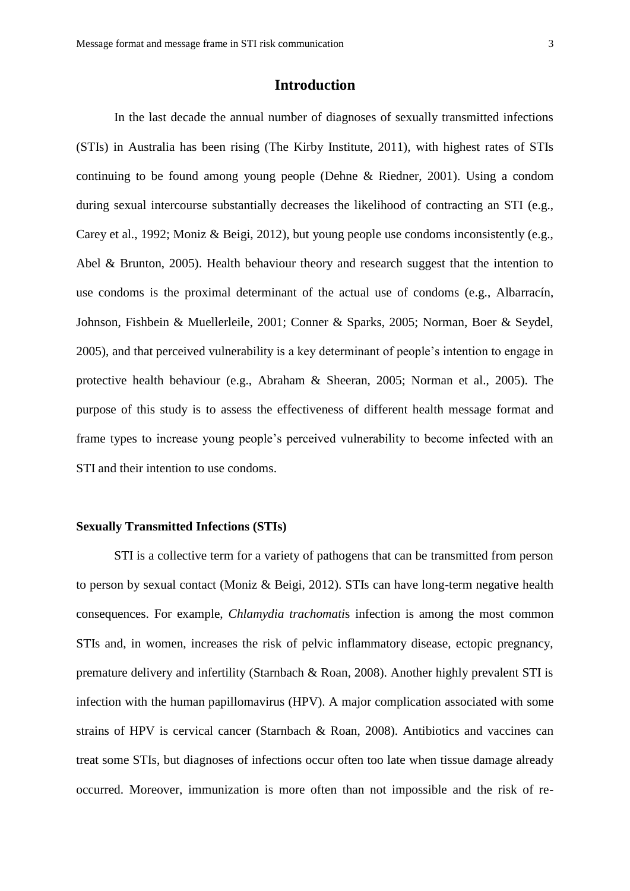# **Introduction**

In the last decade the annual number of diagnoses of sexually transmitted infections (STIs) in Australia has been rising (The Kirby Institute, 2011), with highest rates of STIs continuing to be found among young people (Dehne & Riedner, 2001). Using a condom during sexual intercourse substantially decreases the likelihood of contracting an STI (e.g., Carey et al., 1992; Moniz & Beigi, 2012), but young people use condoms inconsistently (e.g., Abel & Brunton, 2005). Health behaviour theory and research suggest that the intention to use condoms is the proximal determinant of the actual use of condoms (e.g., Albarracín, Johnson, Fishbein & Muellerleile, 2001; Conner & Sparks, 2005; Norman, Boer & Seydel, 2005), and that perceived vulnerability is a key determinant of people"s intention to engage in protective health behaviour (e.g., Abraham & Sheeran, 2005; Norman et al., 2005). The purpose of this study is to assess the effectiveness of different health message format and frame types to increase young people"s perceived vulnerability to become infected with an STI and their intention to use condoms.

## **Sexually Transmitted Infections (STIs)**

STI is a collective term for a variety of pathogens that can be transmitted from person to person by sexual contact (Moniz & Beigi, 2012). STIs can have long-term negative health consequences. For example, *Chlamydia trachomati*s infection is among the most common STIs and, in women, increases the risk of pelvic inflammatory disease, ectopic pregnancy, premature delivery and infertility (Starnbach & Roan, 2008). Another highly prevalent STI is infection with the human papillomavirus (HPV). A major complication associated with some strains of HPV is cervical cancer (Starnbach & Roan, 2008). Antibiotics and vaccines can treat some STIs, but diagnoses of infections occur often too late when tissue damage already occurred. Moreover, immunization is more often than not impossible and the risk of re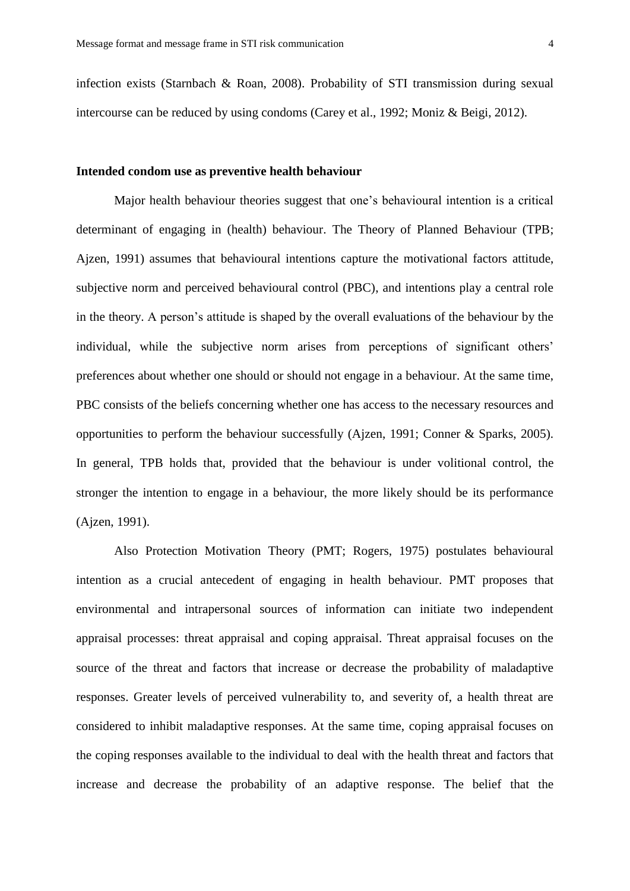infection exists (Starnbach & Roan, 2008). Probability of STI transmission during sexual intercourse can be reduced by using condoms (Carey et al., 1992; Moniz & Beigi, 2012).

### **Intended condom use as preventive health behaviour**

Major health behaviour theories suggest that one"s behavioural intention is a critical determinant of engaging in (health) behaviour. The Theory of Planned Behaviour (TPB; Ajzen, 1991) assumes that behavioural intentions capture the motivational factors attitude, subjective norm and perceived behavioural control (PBC), and intentions play a central role in the theory. A person"s attitude is shaped by the overall evaluations of the behaviour by the individual, while the subjective norm arises from perceptions of significant others' preferences about whether one should or should not engage in a behaviour. At the same time, PBC consists of the beliefs concerning whether one has access to the necessary resources and opportunities to perform the behaviour successfully (Ajzen, 1991; Conner & Sparks, 2005). In general, TPB holds that, provided that the behaviour is under volitional control, the stronger the intention to engage in a behaviour, the more likely should be its performance (Ajzen, 1991).

Also Protection Motivation Theory (PMT; Rogers, 1975) postulates behavioural intention as a crucial antecedent of engaging in health behaviour. PMT proposes that environmental and intrapersonal sources of information can initiate two independent appraisal processes: threat appraisal and coping appraisal. Threat appraisal focuses on the source of the threat and factors that increase or decrease the probability of maladaptive responses. Greater levels of perceived vulnerability to, and severity of, a health threat are considered to inhibit maladaptive responses. At the same time, coping appraisal focuses on the coping responses available to the individual to deal with the health threat and factors that increase and decrease the probability of an adaptive response. The belief that the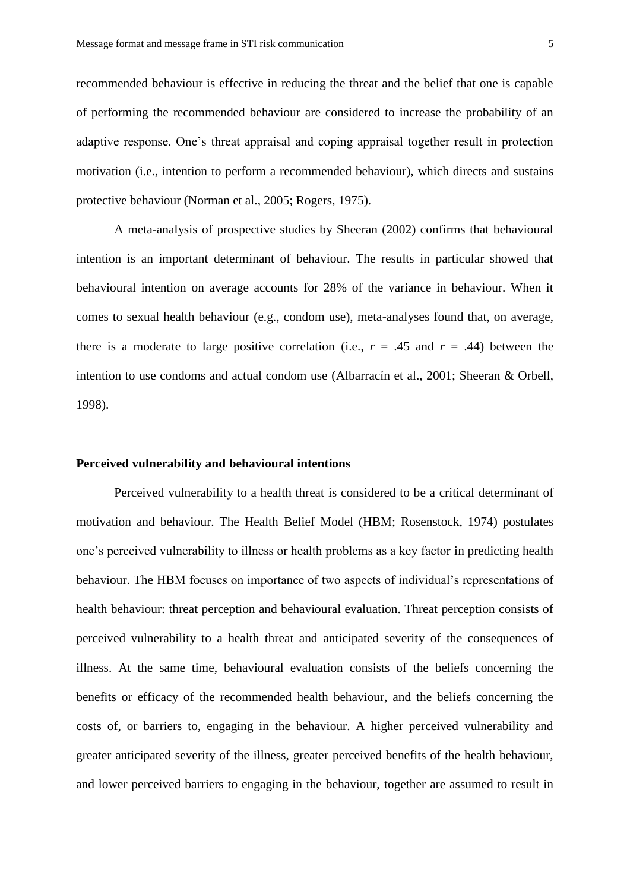recommended behaviour is effective in reducing the threat and the belief that one is capable of performing the recommended behaviour are considered to increase the probability of an adaptive response. One"s threat appraisal and coping appraisal together result in protection motivation (i.e., intention to perform a recommended behaviour), which directs and sustains protective behaviour (Norman et al., 2005; Rogers, 1975).

A meta-analysis of prospective studies by Sheeran (2002) confirms that behavioural intention is an important determinant of behaviour. The results in particular showed that behavioural intention on average accounts for 28% of the variance in behaviour. When it comes to sexual health behaviour (e.g., condom use), meta-analyses found that, on average, there is a moderate to large positive correlation (i.e.,  $r = .45$  and  $r = .44$ ) between the intention to use condoms and actual condom use (Albarracín et al., 2001; Sheeran & Orbell, 1998).

#### **Perceived vulnerability and behavioural intentions**

Perceived vulnerability to a health threat is considered to be a critical determinant of motivation and behaviour. The Health Belief Model (HBM; Rosenstock, 1974) postulates one"s perceived vulnerability to illness or health problems as a key factor in predicting health behaviour. The HBM focuses on importance of two aspects of individual's representations of health behaviour: threat perception and behavioural evaluation. Threat perception consists of perceived vulnerability to a health threat and anticipated severity of the consequences of illness. At the same time, behavioural evaluation consists of the beliefs concerning the benefits or efficacy of the recommended health behaviour, and the beliefs concerning the costs of, or barriers to, engaging in the behaviour. A higher perceived vulnerability and greater anticipated severity of the illness, greater perceived benefits of the health behaviour, and lower perceived barriers to engaging in the behaviour, together are assumed to result in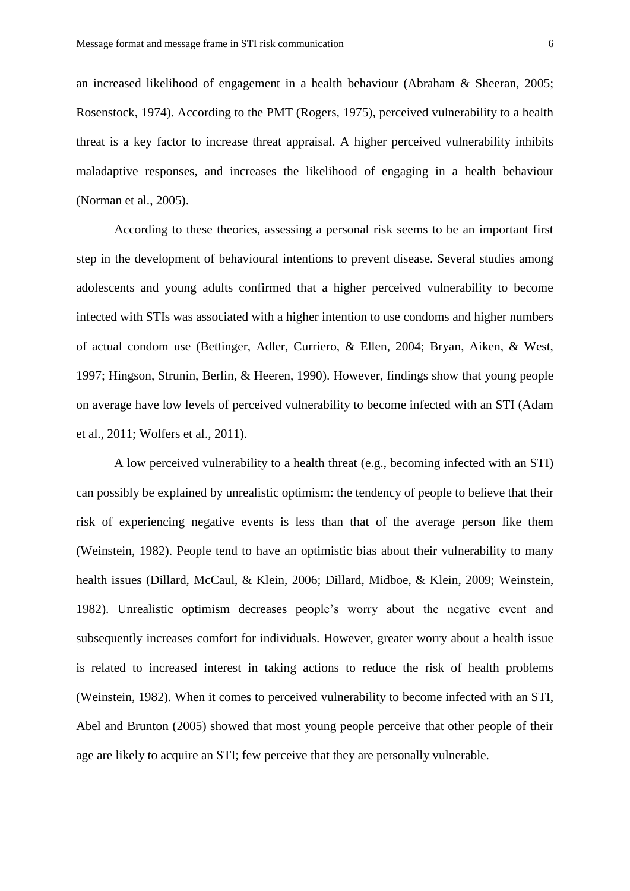an increased likelihood of engagement in a health behaviour (Abraham & Sheeran, 2005; Rosenstock, 1974). According to the PMT (Rogers, 1975), perceived vulnerability to a health threat is a key factor to increase threat appraisal. A higher perceived vulnerability inhibits maladaptive responses, and increases the likelihood of engaging in a health behaviour (Norman et al., 2005).

According to these theories, assessing a personal risk seems to be an important first step in the development of behavioural intentions to prevent disease. Several studies among adolescents and young adults confirmed that a higher perceived vulnerability to become infected with STIs was associated with a higher intention to use condoms and higher numbers of actual condom use (Bettinger, Adler, Curriero, & Ellen, 2004; Bryan, Aiken, & West, 1997; Hingson, Strunin, Berlin, & Heeren, 1990). However, findings show that young people on average have low levels of perceived vulnerability to become infected with an STI (Adam et al., 2011; Wolfers et al., 2011).

A low perceived vulnerability to a health threat (e.g., becoming infected with an STI) can possibly be explained by unrealistic optimism: the tendency of people to believe that their risk of experiencing negative events is less than that of the average person like them (Weinstein, 1982). People tend to have an optimistic bias about their vulnerability to many health issues (Dillard, McCaul, & Klein, 2006; Dillard, Midboe, & Klein, 2009; Weinstein, 1982). Unrealistic optimism decreases people"s worry about the negative event and subsequently increases comfort for individuals. However, greater worry about a health issue is related to increased interest in taking actions to reduce the risk of health problems (Weinstein, 1982). When it comes to perceived vulnerability to become infected with an STI, Abel and Brunton (2005) showed that most young people perceive that other people of their age are likely to acquire an STI; few perceive that they are personally vulnerable.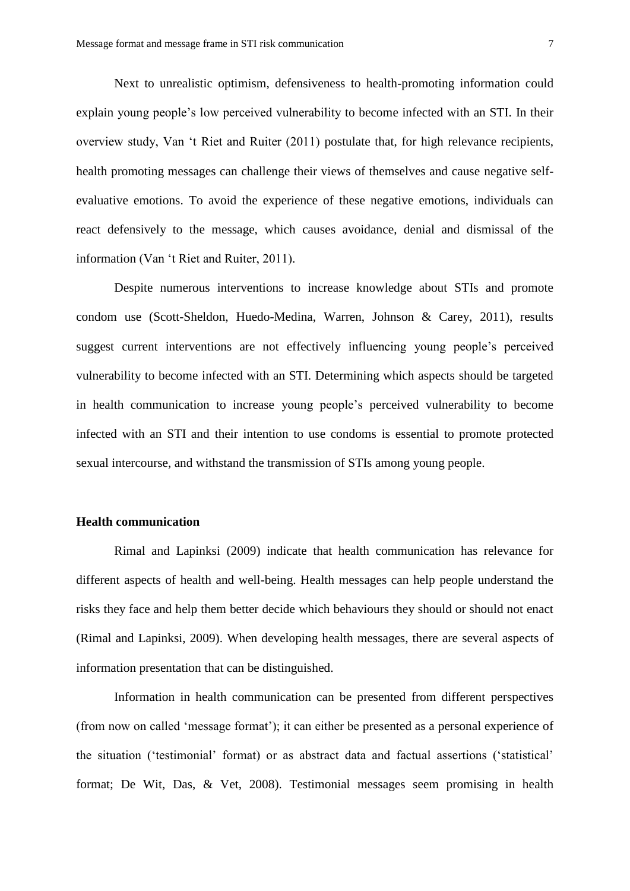Next to unrealistic optimism, defensiveness to health-promoting information could explain young people"s low perceived vulnerability to become infected with an STI. In their overview study, Van "t Riet and Ruiter (2011) postulate that, for high relevance recipients, health promoting messages can challenge their views of themselves and cause negative selfevaluative emotions. To avoid the experience of these negative emotions, individuals can react defensively to the message, which causes avoidance, denial and dismissal of the information (Van "t Riet and Ruiter, 2011).

Despite numerous interventions to increase knowledge about STIs and promote condom use (Scott-Sheldon, Huedo-Medina, Warren, Johnson & Carey, 2011), results suggest current interventions are not effectively influencing young people's perceived vulnerability to become infected with an STI. Determining which aspects should be targeted in health communication to increase young people"s perceived vulnerability to become infected with an STI and their intention to use condoms is essential to promote protected sexual intercourse, and withstand the transmission of STIs among young people.

### **Health communication**

Rimal and Lapinksi (2009) indicate that health communication has relevance for different aspects of health and well-being. Health messages can help people understand the risks they face and help them better decide which behaviours they should or should not enact (Rimal and Lapinksi, 2009). When developing health messages, there are several aspects of information presentation that can be distinguished.

Information in health communication can be presented from different perspectives (from now on called 'message format'); it can either be presented as a personal experience of the situation ("testimonial" format) or as abstract data and factual assertions ("statistical" format; De Wit, Das, & Vet, 2008). Testimonial messages seem promising in health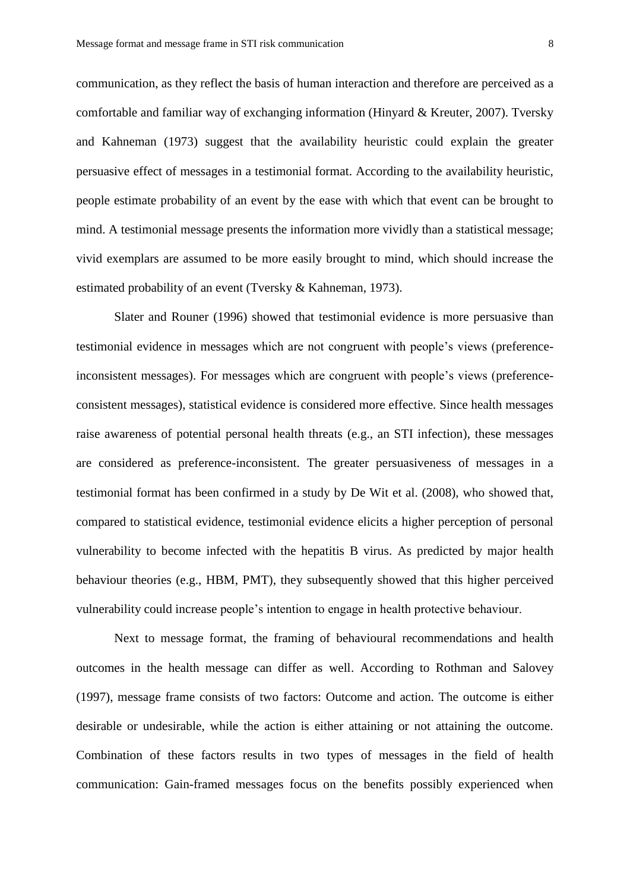communication, as they reflect the basis of human interaction and therefore are perceived as a comfortable and familiar way of exchanging information (Hinyard & Kreuter, 2007). Tversky and Kahneman (1973) suggest that the availability heuristic could explain the greater persuasive effect of messages in a testimonial format. According to the availability heuristic, people estimate probability of an event by the ease with which that event can be brought to mind. A testimonial message presents the information more vividly than a statistical message; vivid exemplars are assumed to be more easily brought to mind, which should increase the estimated probability of an event (Tversky & Kahneman, 1973).

Slater and Rouner (1996) showed that testimonial evidence is more persuasive than testimonial evidence in messages which are not congruent with people"s views (preferenceinconsistent messages). For messages which are congruent with people"s views (preferenceconsistent messages), statistical evidence is considered more effective. Since health messages raise awareness of potential personal health threats (e.g., an STI infection), these messages are considered as preference-inconsistent. The greater persuasiveness of messages in a testimonial format has been confirmed in a study by De Wit et al. (2008), who showed that, compared to statistical evidence, testimonial evidence elicits a higher perception of personal vulnerability to become infected with the hepatitis B virus. As predicted by major health behaviour theories (e.g., HBM, PMT), they subsequently showed that this higher perceived vulnerability could increase people"s intention to engage in health protective behaviour.

Next to message format, the framing of behavioural recommendations and health outcomes in the health message can differ as well. According to Rothman and Salovey (1997), message frame consists of two factors: Outcome and action. The outcome is either desirable or undesirable, while the action is either attaining or not attaining the outcome. Combination of these factors results in two types of messages in the field of health communication: Gain-framed messages focus on the benefits possibly experienced when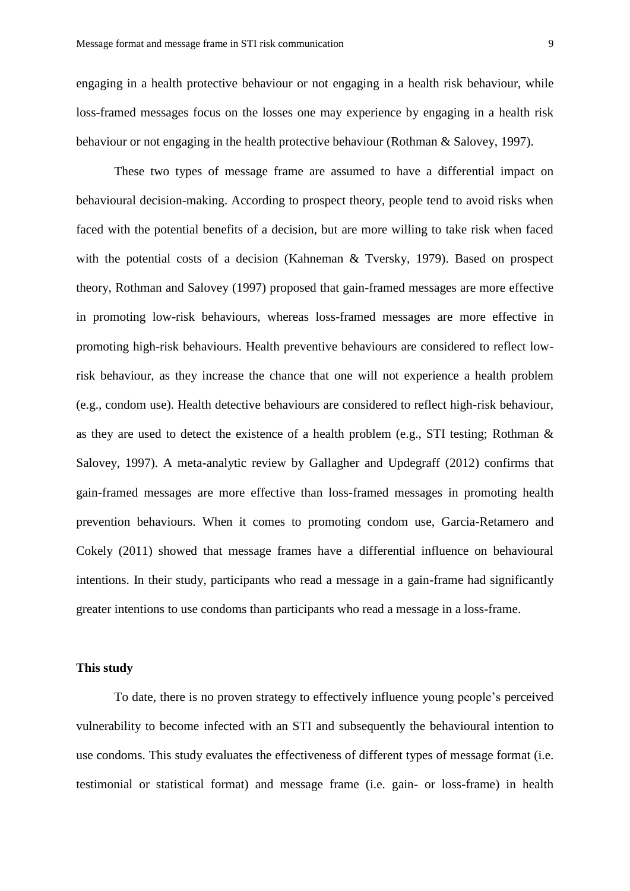engaging in a health protective behaviour or not engaging in a health risk behaviour, while loss-framed messages focus on the losses one may experience by engaging in a health risk behaviour or not engaging in the health protective behaviour (Rothman & Salovey, 1997).

These two types of message frame are assumed to have a differential impact on behavioural decision-making. According to prospect theory, people tend to avoid risks when faced with the potential benefits of a decision, but are more willing to take risk when faced with the potential costs of a decision (Kahneman & Tversky, 1979). Based on prospect theory, Rothman and Salovey (1997) proposed that gain-framed messages are more effective in promoting low-risk behaviours, whereas loss-framed messages are more effective in promoting high-risk behaviours. Health preventive behaviours are considered to reflect lowrisk behaviour, as they increase the chance that one will not experience a health problem (e.g., condom use). Health detective behaviours are considered to reflect high-risk behaviour, as they are used to detect the existence of a health problem (e.g., STI testing; Rothman & Salovey, 1997). A meta-analytic review by Gallagher and Updegraff (2012) confirms that gain-framed messages are more effective than loss-framed messages in promoting health prevention behaviours. When it comes to promoting condom use, Garcia-Retamero and Cokely (2011) showed that message frames have a differential influence on behavioural intentions. In their study, participants who read a message in a gain-frame had significantly greater intentions to use condoms than participants who read a message in a loss-frame.

### **This study**

To date, there is no proven strategy to effectively influence young people"s perceived vulnerability to become infected with an STI and subsequently the behavioural intention to use condoms. This study evaluates the effectiveness of different types of message format (i.e. testimonial or statistical format) and message frame (i.e. gain- or loss-frame) in health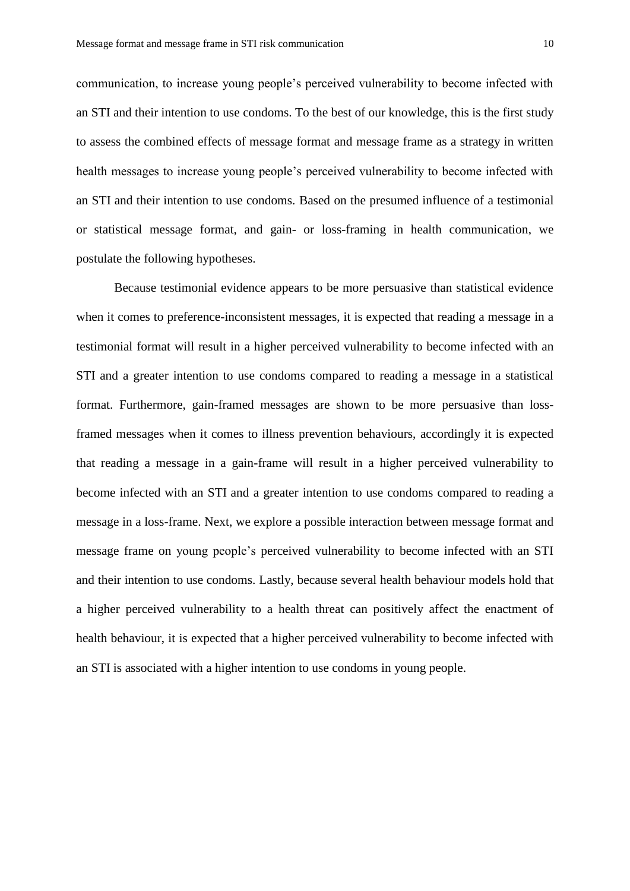communication, to increase young people"s perceived vulnerability to become infected with an STI and their intention to use condoms. To the best of our knowledge, this is the first study to assess the combined effects of message format and message frame as a strategy in written health messages to increase young people"s perceived vulnerability to become infected with an STI and their intention to use condoms. Based on the presumed influence of a testimonial or statistical message format, and gain- or loss-framing in health communication, we postulate the following hypotheses.

Because testimonial evidence appears to be more persuasive than statistical evidence when it comes to preference-inconsistent messages, it is expected that reading a message in a testimonial format will result in a higher perceived vulnerability to become infected with an STI and a greater intention to use condoms compared to reading a message in a statistical format. Furthermore, gain-framed messages are shown to be more persuasive than lossframed messages when it comes to illness prevention behaviours, accordingly it is expected that reading a message in a gain-frame will result in a higher perceived vulnerability to become infected with an STI and a greater intention to use condoms compared to reading a message in a loss-frame. Next, we explore a possible interaction between message format and message frame on young people"s perceived vulnerability to become infected with an STI and their intention to use condoms. Lastly, because several health behaviour models hold that a higher perceived vulnerability to a health threat can positively affect the enactment of health behaviour, it is expected that a higher perceived vulnerability to become infected with an STI is associated with a higher intention to use condoms in young people.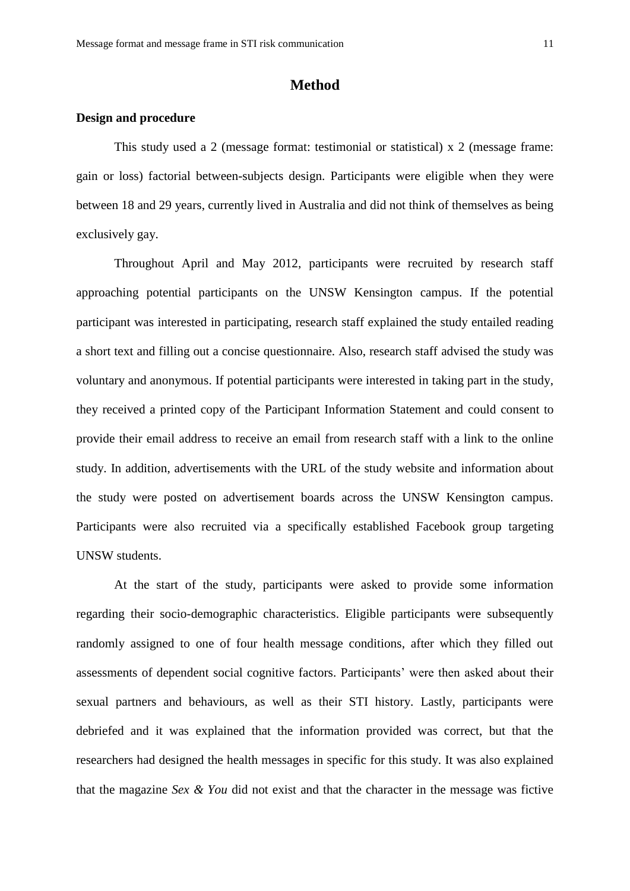## **Method**

#### **Design and procedure**

This study used a 2 (message format: testimonial or statistical) x 2 (message frame: gain or loss) factorial between-subjects design. Participants were eligible when they were between 18 and 29 years, currently lived in Australia and did not think of themselves as being exclusively gay.

Throughout April and May 2012, participants were recruited by research staff approaching potential participants on the UNSW Kensington campus. If the potential participant was interested in participating, research staff explained the study entailed reading a short text and filling out a concise questionnaire. Also, research staff advised the study was voluntary and anonymous. If potential participants were interested in taking part in the study, they received a printed copy of the Participant Information Statement and could consent to provide their email address to receive an email from research staff with a link to the online study. In addition, advertisements with the URL of the study website and information about the study were posted on advertisement boards across the UNSW Kensington campus. Participants were also recruited via a specifically established Facebook group targeting UNSW students.

At the start of the study, participants were asked to provide some information regarding their socio-demographic characteristics. Eligible participants were subsequently randomly assigned to one of four health message conditions, after which they filled out assessments of dependent social cognitive factors. Participants' were then asked about their sexual partners and behaviours, as well as their STI history. Lastly, participants were debriefed and it was explained that the information provided was correct, but that the researchers had designed the health messages in specific for this study. It was also explained that the magazine *Sex & You* did not exist and that the character in the message was fictive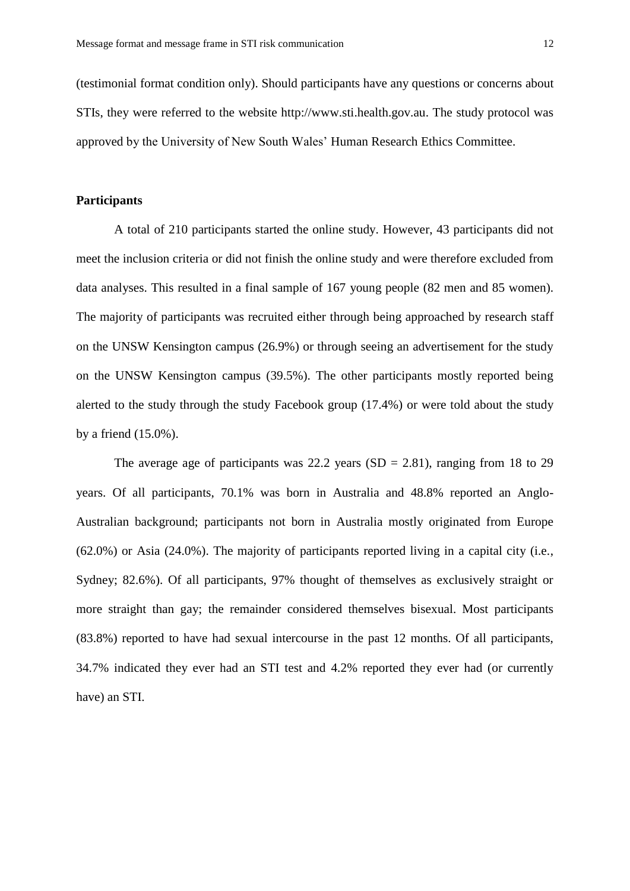(testimonial format condition only). Should participants have any questions or concerns about STIs, they were referred to the website http://www.sti.health.gov.au. The study protocol was approved by the University of New South Wales" Human Research Ethics Committee.

### **Participants**

A total of 210 participants started the online study. However, 43 participants did not meet the inclusion criteria or did not finish the online study and were therefore excluded from data analyses. This resulted in a final sample of 167 young people (82 men and 85 women). The majority of participants was recruited either through being approached by research staff on the UNSW Kensington campus (26.9%) or through seeing an advertisement for the study on the UNSW Kensington campus (39.5%). The other participants mostly reported being alerted to the study through the study Facebook group (17.4%) or were told about the study by a friend (15.0%).

The average age of participants was 22.2 years  $(SD = 2.81)$ , ranging from 18 to 29 years. Of all participants, 70.1% was born in Australia and 48.8% reported an Anglo-Australian background; participants not born in Australia mostly originated from Europe (62.0%) or Asia (24.0%). The majority of participants reported living in a capital city (i.e., Sydney; 82.6%). Of all participants, 97% thought of themselves as exclusively straight or more straight than gay; the remainder considered themselves bisexual. Most participants (83.8%) reported to have had sexual intercourse in the past 12 months. Of all participants, 34.7% indicated they ever had an STI test and 4.2% reported they ever had (or currently have) an STI.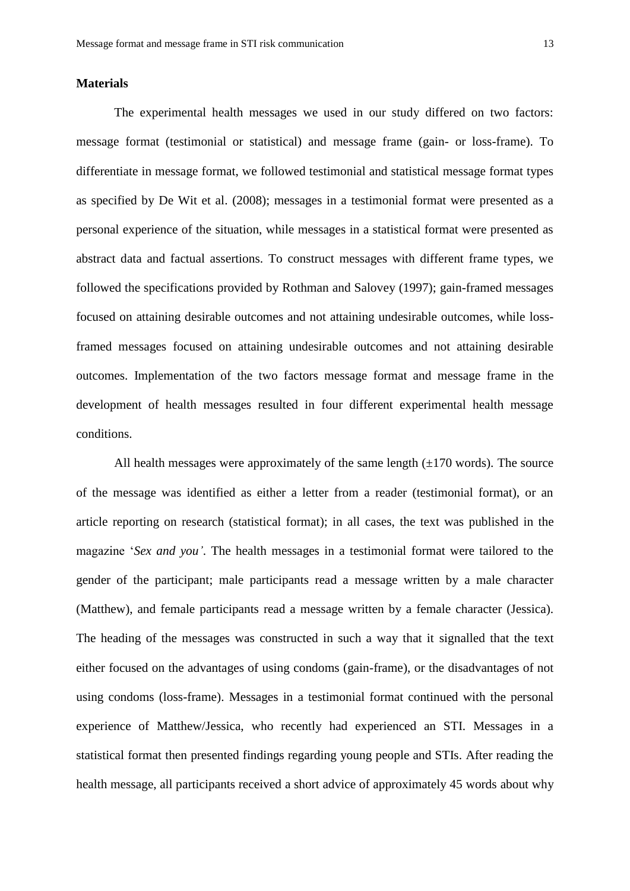### **Materials**

The experimental health messages we used in our study differed on two factors: message format (testimonial or statistical) and message frame (gain- or loss-frame). To differentiate in message format, we followed testimonial and statistical message format types as specified by De Wit et al. (2008); messages in a testimonial format were presented as a personal experience of the situation, while messages in a statistical format were presented as abstract data and factual assertions. To construct messages with different frame types, we followed the specifications provided by Rothman and Salovey (1997); gain-framed messages focused on attaining desirable outcomes and not attaining undesirable outcomes, while lossframed messages focused on attaining undesirable outcomes and not attaining desirable outcomes. Implementation of the two factors message format and message frame in the development of health messages resulted in four different experimental health message conditions.

All health messages were approximately of the same length  $(\pm 170$  words). The source of the message was identified as either a letter from a reader (testimonial format), or an article reporting on research (statistical format); in all cases, the text was published in the magazine "*Sex and you'*. The health messages in a testimonial format were tailored to the gender of the participant; male participants read a message written by a male character (Matthew), and female participants read a message written by a female character (Jessica). The heading of the messages was constructed in such a way that it signalled that the text either focused on the advantages of using condoms (gain-frame), or the disadvantages of not using condoms (loss-frame). Messages in a testimonial format continued with the personal experience of Matthew/Jessica, who recently had experienced an STI. Messages in a statistical format then presented findings regarding young people and STIs. After reading the health message, all participants received a short advice of approximately 45 words about why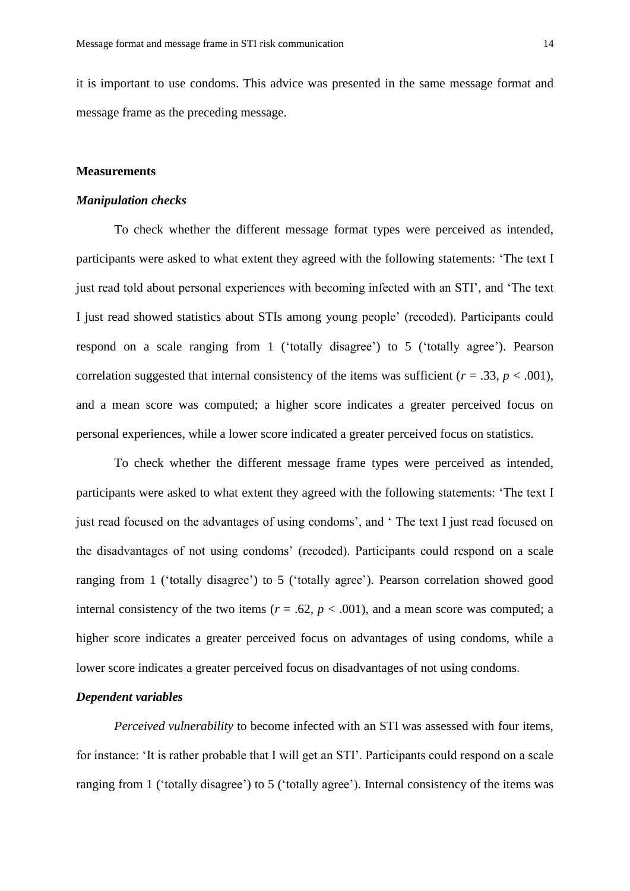it is important to use condoms. This advice was presented in the same message format and message frame as the preceding message.

### **Measurements**

### *Manipulation checks*

To check whether the different message format types were perceived as intended, participants were asked to what extent they agreed with the following statements: "The text I just read told about personal experiences with becoming infected with an STI", and "The text I just read showed statistics about STIs among young people" (recoded). Participants could respond on a scale ranging from 1 ('totally disagree') to 5 ('totally agree'). Pearson correlation suggested that internal consistency of the items was sufficient ( $r = .33$ ,  $p < .001$ ), and a mean score was computed; a higher score indicates a greater perceived focus on personal experiences, while a lower score indicated a greater perceived focus on statistics.

To check whether the different message frame types were perceived as intended, participants were asked to what extent they agreed with the following statements: "The text I just read focused on the advantages of using condoms', and 'The text I just read focused on the disadvantages of not using condoms" (recoded). Participants could respond on a scale ranging from 1 ('totally disagree') to 5 ('totally agree'). Pearson correlation showed good internal consistency of the two items ( $r = .62$ ,  $p < .001$ ), and a mean score was computed; a higher score indicates a greater perceived focus on advantages of using condoms, while a lower score indicates a greater perceived focus on disadvantages of not using condoms.

### *Dependent variables*

*Perceived vulnerability* to become infected with an STI was assessed with four items, for instance: "It is rather probable that I will get an STI". Participants could respond on a scale ranging from 1 ('totally disagree') to 5 ('totally agree'). Internal consistency of the items was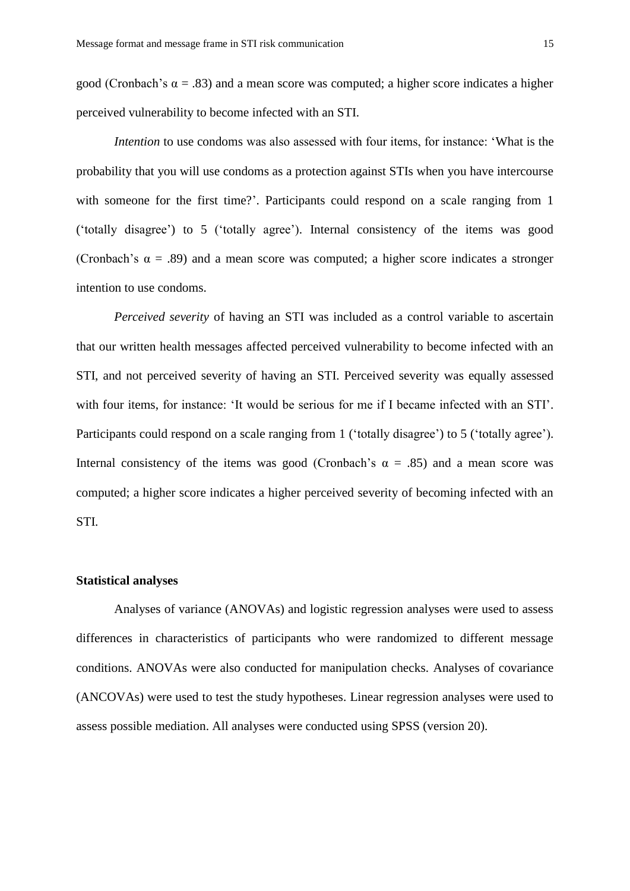good (Cronbach's  $\alpha = .83$ ) and a mean score was computed; a higher score indicates a higher perceived vulnerability to become infected with an STI.

*Intention* to use condoms was also assessed with four items, for instance: 'What is the probability that you will use condoms as a protection against STIs when you have intercourse with someone for the first time?'. Participants could respond on a scale ranging from 1 ("totally disagree") to 5 ("totally agree"). Internal consistency of the items was good (Cronbach's  $\alpha = .89$ ) and a mean score was computed; a higher score indicates a stronger intention to use condoms.

*Perceived severity* of having an STI was included as a control variable to ascertain that our written health messages affected perceived vulnerability to become infected with an STI, and not perceived severity of having an STI. Perceived severity was equally assessed with four items, for instance: 'It would be serious for me if I became infected with an STI'. Participants could respond on a scale ranging from 1 ('totally disagree') to 5 ('totally agree'). Internal consistency of the items was good (Cronbach's  $\alpha = .85$ ) and a mean score was computed; a higher score indicates a higher perceived severity of becoming infected with an STI.

### **Statistical analyses**

Analyses of variance (ANOVAs) and logistic regression analyses were used to assess differences in characteristics of participants who were randomized to different message conditions. ANOVAs were also conducted for manipulation checks. Analyses of covariance (ANCOVAs) were used to test the study hypotheses. Linear regression analyses were used to assess possible mediation. All analyses were conducted using SPSS (version 20).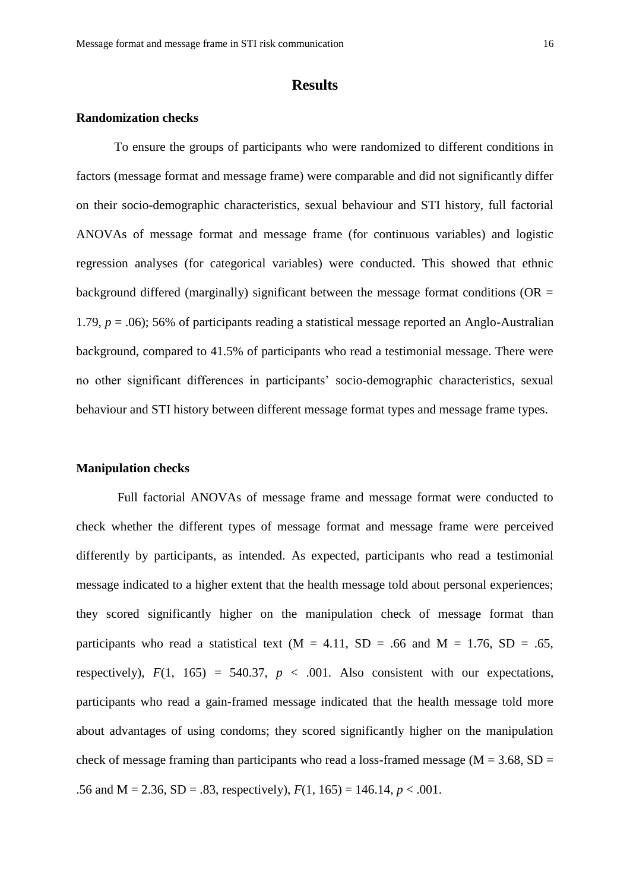# **Results**

#### **Randomization checks**

To ensure the groups of participants who were randomized to different conditions in factors (message format and message frame) were comparable and did not significantly differ on their socio-demographic characteristics, sexual behaviour and STI history, full factorial ANOVAs of message format and message frame (for continuous variables) and logistic regression analyses (for categorical variables) were conducted. This showed that ethnic background differed (marginally) significant between the message format conditions ( $OR =$ 1.79, *p* = .06); 56% of participants reading a statistical message reported an Anglo-Australian background, compared to 41.5% of participants who read a testimonial message. There were no other significant differences in participants" socio-demographic characteristics, sexual behaviour and STI history between different message format types and message frame types.

### **Manipulation checks**

Full factorial ANOVAs of message frame and message format were conducted to check whether the different types of message format and message frame were perceived differently by participants, as intended. As expected, participants who read a testimonial message indicated to a higher extent that the health message told about personal experiences; they scored significantly higher on the manipulation check of message format than participants who read a statistical text  $(M = 4.11, SD = .66$  and  $M = 1.76, SD = .65$ , respectively),  $F(1, 165) = 540.37$ ,  $p < .001$ . Also consistent with our expectations, participants who read a gain-framed message indicated that the health message told more about advantages of using condoms; they scored significantly higher on the manipulation check of message framing than participants who read a loss-framed message ( $M = 3.68$ , SD = .56 and M = 2.36, SD = .83, respectively),  $F(1, 165) = 146.14, p < .001$ .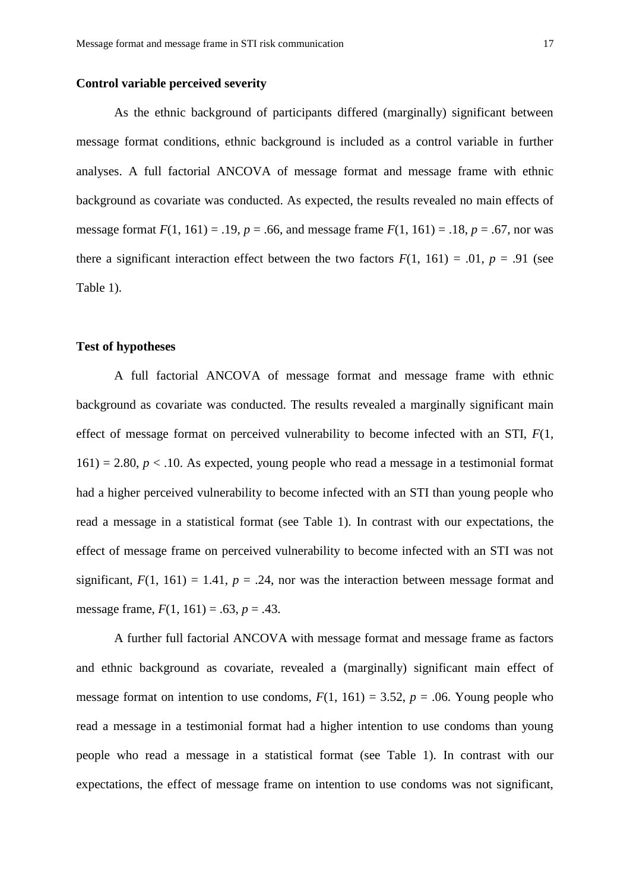#### **Control variable perceived severity**

As the ethnic background of participants differed (marginally) significant between message format conditions, ethnic background is included as a control variable in further analyses. A full factorial ANCOVA of message format and message frame with ethnic background as covariate was conducted. As expected, the results revealed no main effects of message format  $F(1, 161) = .19$ ,  $p = .66$ , and message frame  $F(1, 161) = .18$ ,  $p = .67$ , nor was there a significant interaction effect between the two factors  $F(1, 161) = .01$ ,  $p = .91$  (see Table 1).

### **Test of hypotheses**

A full factorial ANCOVA of message format and message frame with ethnic background as covariate was conducted. The results revealed a marginally significant main effect of message format on perceived vulnerability to become infected with an STI, *F*(1,  $161$ ) = 2.80,  $p < 0.10$ . As expected, young people who read a message in a testimonial format had a higher perceived vulnerability to become infected with an STI than young people who read a message in a statistical format (see Table 1). In contrast with our expectations, the effect of message frame on perceived vulnerability to become infected with an STI was not significant,  $F(1, 161) = 1.41$ ,  $p = .24$ , nor was the interaction between message format and message frame,  $F(1, 161) = .63$ ,  $p = .43$ .

A further full factorial ANCOVA with message format and message frame as factors and ethnic background as covariate, revealed a (marginally) significant main effect of message format on intention to use condoms,  $F(1, 161) = 3.52$ ,  $p = .06$ . Young people who read a message in a testimonial format had a higher intention to use condoms than young people who read a message in a statistical format (see Table 1). In contrast with our expectations, the effect of message frame on intention to use condoms was not significant,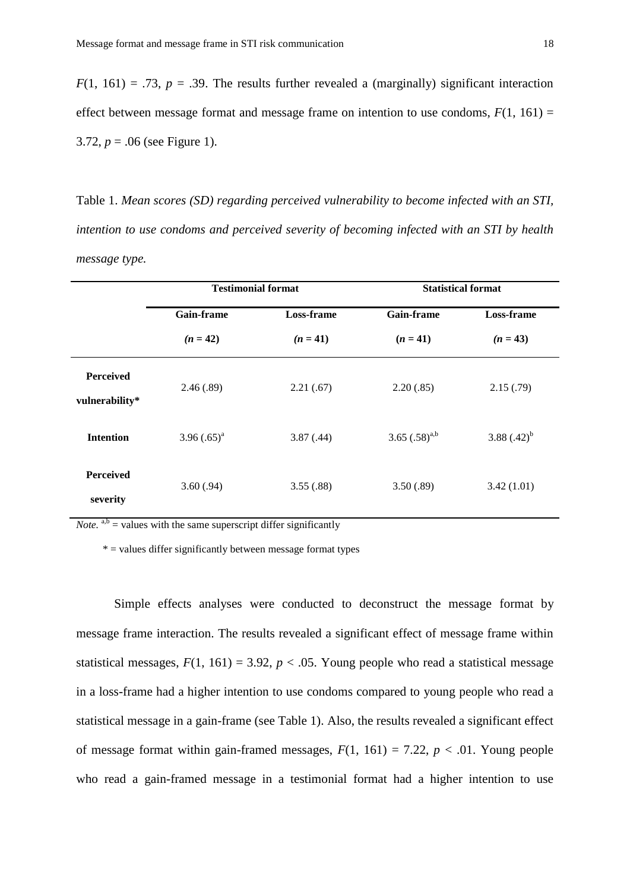$F(1, 161) = .73$ ,  $p = .39$ . The results further revealed a (marginally) significant interaction effect between message format and message frame on intention to use condoms,  $F(1, 161) =$ 3.72,  $p = .06$  (see Figure 1).

Table 1. *Mean scores (SD) regarding perceived vulnerability to become infected with an STI, intention to use condoms and perceived severity of becoming infected with an STI by health message type.*

|                                    | <b>Testimonial format</b>       |            |                    | <b>Statistical format</b> |  |  |
|------------------------------------|---------------------------------|------------|--------------------|---------------------------|--|--|
|                                    | Loss-frame<br><b>Gain-frame</b> |            | Gain-frame         | Loss-frame                |  |  |
|                                    | $(n = 42)$                      | $(n = 41)$ | $(n = 41)$         | $(n = 43)$                |  |  |
| <b>Perceived</b><br>vulnerability* | 2.46(.89)                       | 2.21(.67)  | 2.20(.85)          | 2.15(.79)                 |  |  |
| <b>Intention</b>                   | 3.96 $(.65)^{a}$                | 3.87(.44)  | 3.65 $(.58)^{a,b}$ | 3.88 $(.42)^{b}$          |  |  |
| <b>Perceived</b><br>severity       | 3.60(.94)                       | 3.55(.88)  | 3.50(.89)          | 3.42(1.01)                |  |  |

*Note.*  $a,b$  = values with the same superscript differ significantly

 $*$  = values differ significantly between message format types

Simple effects analyses were conducted to deconstruct the message format by message frame interaction. The results revealed a significant effect of message frame within statistical messages,  $F(1, 161) = 3.92$ ,  $p < .05$ . Young people who read a statistical message in a loss-frame had a higher intention to use condoms compared to young people who read a statistical message in a gain-frame (see Table 1). Also, the results revealed a significant effect of message format within gain-framed messages,  $F(1, 161) = 7.22$ ,  $p < .01$ . Young people who read a gain-framed message in a testimonial format had a higher intention to use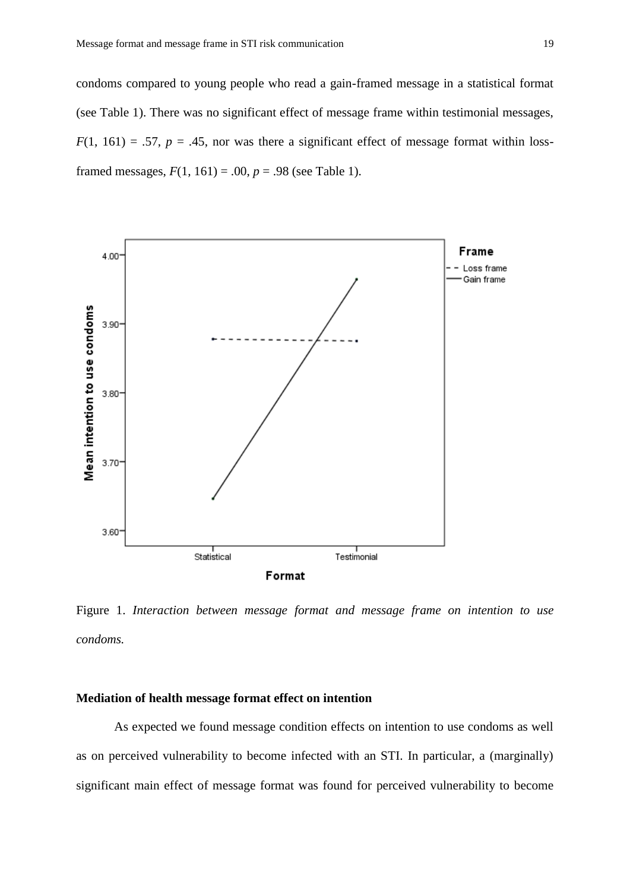condoms compared to young people who read a gain-framed message in a statistical format (see Table 1). There was no significant effect of message frame within testimonial messages,  $F(1, 161) = .57$ ,  $p = .45$ , nor was there a significant effect of message format within lossframed messages,  $F(1, 161) = .00$ ,  $p = .98$  (see Table 1).



Figure 1. *Interaction between message format and message frame on intention to use condoms.*

### **Mediation of health message format effect on intention**

As expected we found message condition effects on intention to use condoms as well as on perceived vulnerability to become infected with an STI. In particular, a (marginally) significant main effect of message format was found for perceived vulnerability to become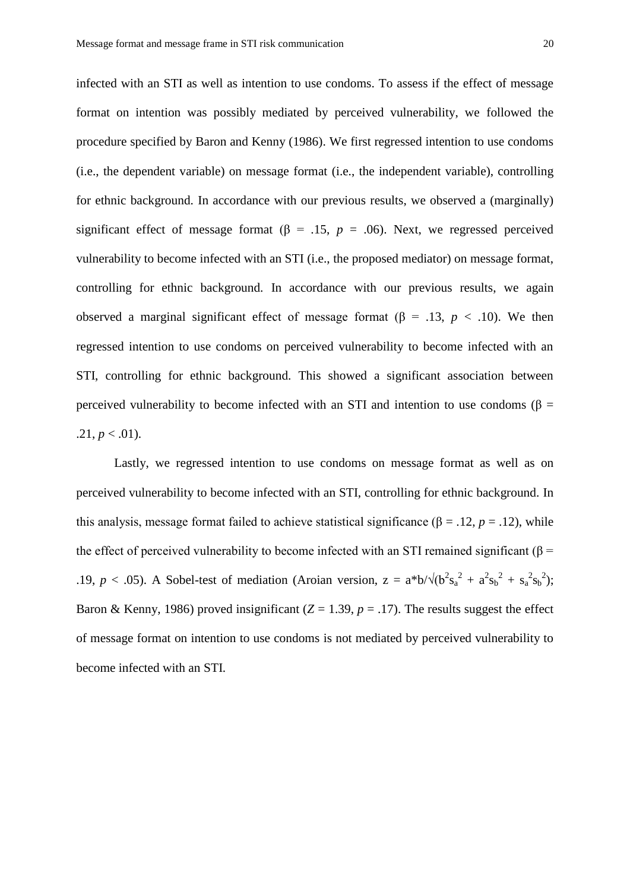infected with an STI as well as intention to use condoms. To assess if the effect of message format on intention was possibly mediated by perceived vulnerability, we followed the procedure specified by Baron and Kenny (1986). We first regressed intention to use condoms (i.e., the dependent variable) on message format (i.e., the independent variable), controlling for ethnic background. In accordance with our previous results, we observed a (marginally) significant effect of message format ( $\beta$  = .15,  $p$  = .06). Next, we regressed perceived vulnerability to become infected with an STI (i.e., the proposed mediator) on message format, controlling for ethnic background. In accordance with our previous results, we again observed a marginal significant effect of message format ( $\beta$  = .13, *p* < .10). We then regressed intention to use condoms on perceived vulnerability to become infected with an STI, controlling for ethnic background. This showed a significant association between perceived vulnerability to become infected with an STI and intention to use condoms ( $\beta$  =  $.21, p < .01$ ).

Lastly, we regressed intention to use condoms on message format as well as on perceived vulnerability to become infected with an STI, controlling for ethnic background. In this analysis, message format failed to achieve statistical significance ( $\beta$  = .12, *p* = .12), while the effect of perceived vulnerability to become infected with an STI remained significant ( $\beta$  = .19, *p* < .05). A Sobel-test of mediation (Aroian version,  $z = a * b / \sqrt{(b^2 s_a^2 + a^2 s_b^2 + s_a^2 s_b^2)}$ ; Baron & Kenny, 1986) proved insignificant  $(Z = 1.39, p = .17)$ . The results suggest the effect of message format on intention to use condoms is not mediated by perceived vulnerability to become infected with an STI.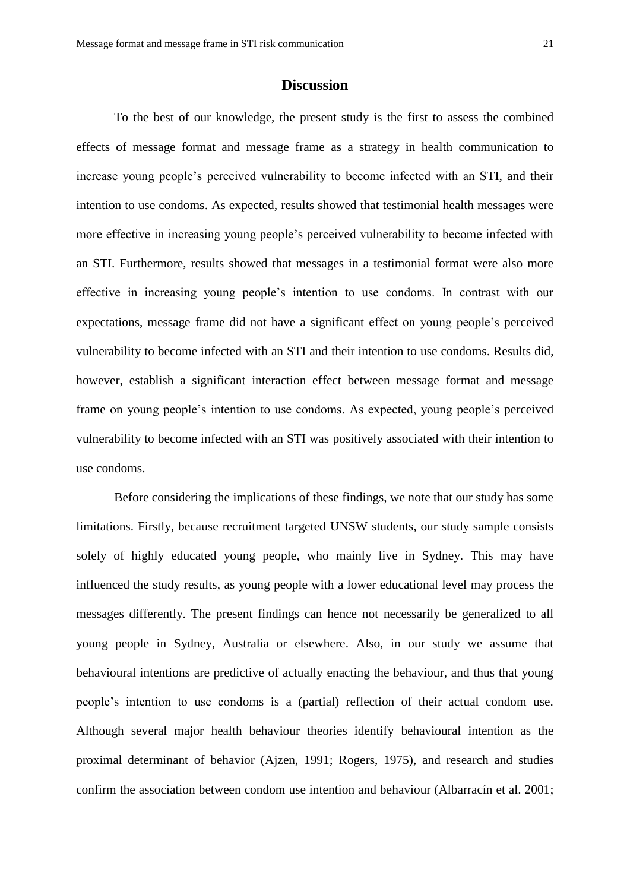# **Discussion**

To the best of our knowledge, the present study is the first to assess the combined effects of message format and message frame as a strategy in health communication to increase young people"s perceived vulnerability to become infected with an STI, and their intention to use condoms. As expected, results showed that testimonial health messages were more effective in increasing young people"s perceived vulnerability to become infected with an STI. Furthermore, results showed that messages in a testimonial format were also more effective in increasing young people"s intention to use condoms. In contrast with our expectations, message frame did not have a significant effect on young people"s perceived vulnerability to become infected with an STI and their intention to use condoms. Results did, however, establish a significant interaction effect between message format and message frame on young people"s intention to use condoms. As expected, young people"s perceived vulnerability to become infected with an STI was positively associated with their intention to use condoms.

Before considering the implications of these findings, we note that our study has some limitations. Firstly, because recruitment targeted UNSW students, our study sample consists solely of highly educated young people, who mainly live in Sydney. This may have influenced the study results, as young people with a lower educational level may process the messages differently. The present findings can hence not necessarily be generalized to all young people in Sydney, Australia or elsewhere. Also, in our study we assume that behavioural intentions are predictive of actually enacting the behaviour, and thus that young people"s intention to use condoms is a (partial) reflection of their actual condom use. Although several major health behaviour theories identify behavioural intention as the proximal determinant of behavior (Ajzen, 1991; Rogers, 1975), and research and studies confirm the association between condom use intention and behaviour (Albarracín et al. 2001;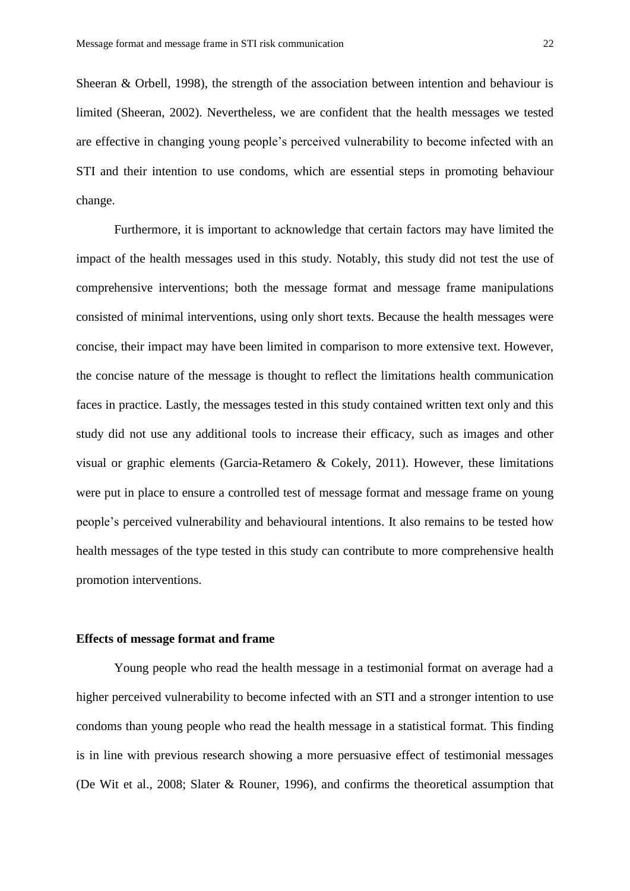Sheeran & Orbell, 1998), the strength of the association between intention and behaviour is limited (Sheeran, 2002). Nevertheless, we are confident that the health messages we tested are effective in changing young people"s perceived vulnerability to become infected with an STI and their intention to use condoms, which are essential steps in promoting behaviour change.

Furthermore, it is important to acknowledge that certain factors may have limited the impact of the health messages used in this study. Notably, this study did not test the use of comprehensive interventions; both the message format and message frame manipulations consisted of minimal interventions, using only short texts. Because the health messages were concise, their impact may have been limited in comparison to more extensive text. However, the concise nature of the message is thought to reflect the limitations health communication faces in practice. Lastly, the messages tested in this study contained written text only and this study did not use any additional tools to increase their efficacy, such as images and other visual or graphic elements (Garcia-Retamero & Cokely, 2011). However, these limitations were put in place to ensure a controlled test of message format and message frame on young people"s perceived vulnerability and behavioural intentions. It also remains to be tested how health messages of the type tested in this study can contribute to more comprehensive health promotion interventions.

#### **Effects of message format and frame**

Young people who read the health message in a testimonial format on average had a higher perceived vulnerability to become infected with an STI and a stronger intention to use condoms than young people who read the health message in a statistical format. This finding is in line with previous research showing a more persuasive effect of testimonial messages (De Wit et al., 2008; Slater & Rouner, 1996), and confirms the theoretical assumption that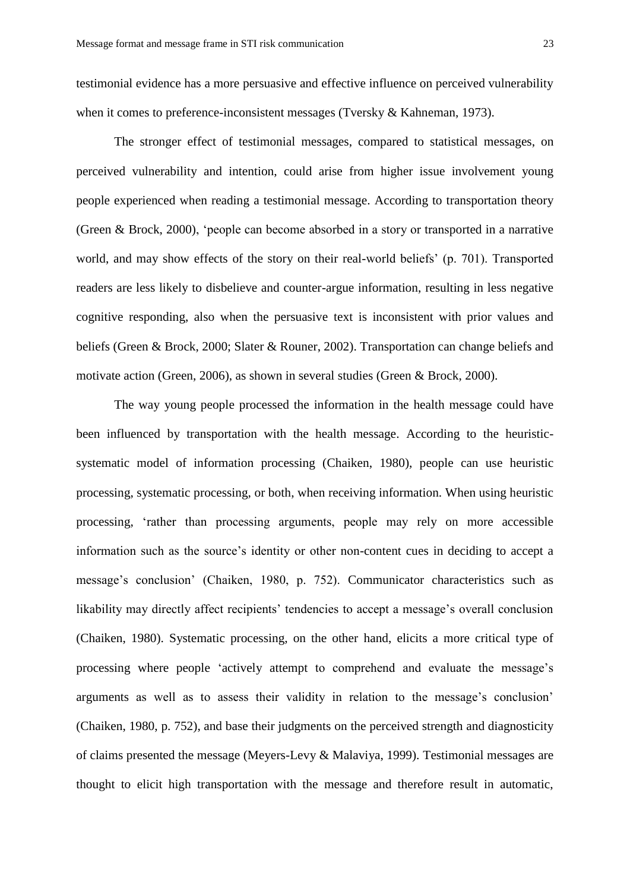testimonial evidence has a more persuasive and effective influence on perceived vulnerability when it comes to preference-inconsistent messages (Tversky & Kahneman, 1973).

The stronger effect of testimonial messages, compared to statistical messages, on perceived vulnerability and intention, could arise from higher issue involvement young people experienced when reading a testimonial message. According to transportation theory (Green & Brock, 2000), "people can become absorbed in a story or transported in a narrative world, and may show effects of the story on their real-world beliefs" (p. 701). Transported readers are less likely to disbelieve and counter-argue information, resulting in less negative cognitive responding, also when the persuasive text is inconsistent with prior values and beliefs (Green & Brock, 2000; Slater & Rouner, 2002). Transportation can change beliefs and motivate action (Green, 2006), as shown in several studies (Green & Brock, 2000).

The way young people processed the information in the health message could have been influenced by transportation with the health message. According to the heuristicsystematic model of information processing (Chaiken, 1980), people can use heuristic processing, systematic processing, or both, when receiving information. When using heuristic processing, "rather than processing arguments, people may rely on more accessible information such as the source"s identity or other non-content cues in deciding to accept a message"s conclusion" (Chaiken, 1980, p. 752). Communicator characteristics such as likability may directly affect recipients' tendencies to accept a message's overall conclusion (Chaiken, 1980). Systematic processing, on the other hand, elicits a more critical type of processing where people "actively attempt to comprehend and evaluate the message"s arguments as well as to assess their validity in relation to the message"s conclusion" (Chaiken, 1980, p. 752), and base their judgments on the perceived strength and diagnosticity of claims presented the message (Meyers-Levy & Malaviya, 1999). Testimonial messages are thought to elicit high transportation with the message and therefore result in automatic,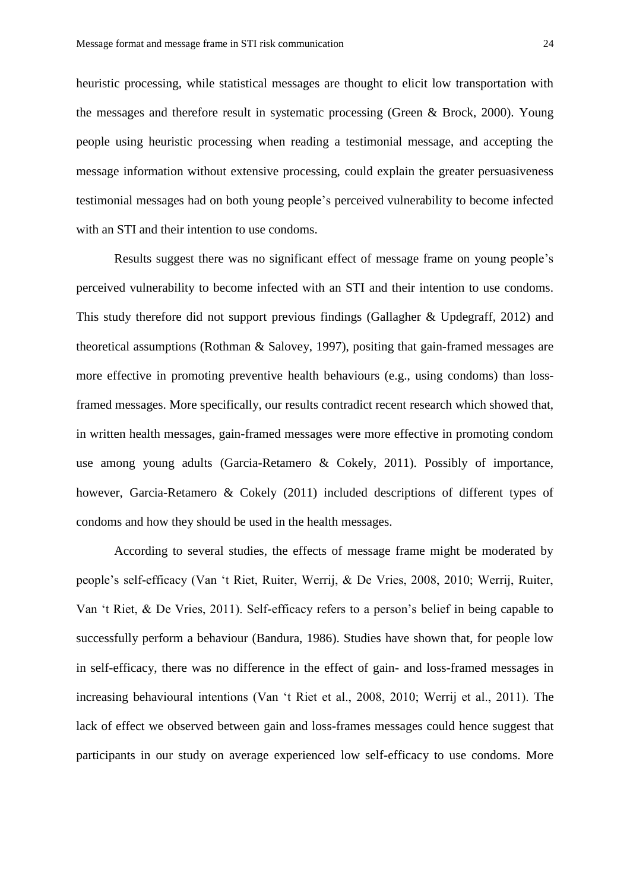heuristic processing, while statistical messages are thought to elicit low transportation with the messages and therefore result in systematic processing (Green & Brock, 2000). Young people using heuristic processing when reading a testimonial message, and accepting the message information without extensive processing, could explain the greater persuasiveness testimonial messages had on both young people"s perceived vulnerability to become infected with an STI and their intention to use condoms.

Results suggest there was no significant effect of message frame on young people"s perceived vulnerability to become infected with an STI and their intention to use condoms. This study therefore did not support previous findings (Gallagher & Updegraff, 2012) and theoretical assumptions (Rothman & Salovey, 1997), positing that gain-framed messages are more effective in promoting preventive health behaviours (e.g., using condoms) than lossframed messages. More specifically, our results contradict recent research which showed that, in written health messages, gain-framed messages were more effective in promoting condom use among young adults (Garcia-Retamero & Cokely, 2011). Possibly of importance, however, Garcia-Retamero & Cokely (2011) included descriptions of different types of condoms and how they should be used in the health messages.

According to several studies, the effects of message frame might be moderated by people"s self-efficacy (Van "t Riet, Ruiter, Werrij, & De Vries, 2008, 2010; Werrij, Ruiter, Van "t Riet, & De Vries, 2011). Self-efficacy refers to a person"s belief in being capable to successfully perform a behaviour (Bandura, 1986). Studies have shown that, for people low in self-efficacy, there was no difference in the effect of gain- and loss-framed messages in increasing behavioural intentions (Van "t Riet et al., 2008, 2010; Werrij et al., 2011). The lack of effect we observed between gain and loss-frames messages could hence suggest that participants in our study on average experienced low self-efficacy to use condoms. More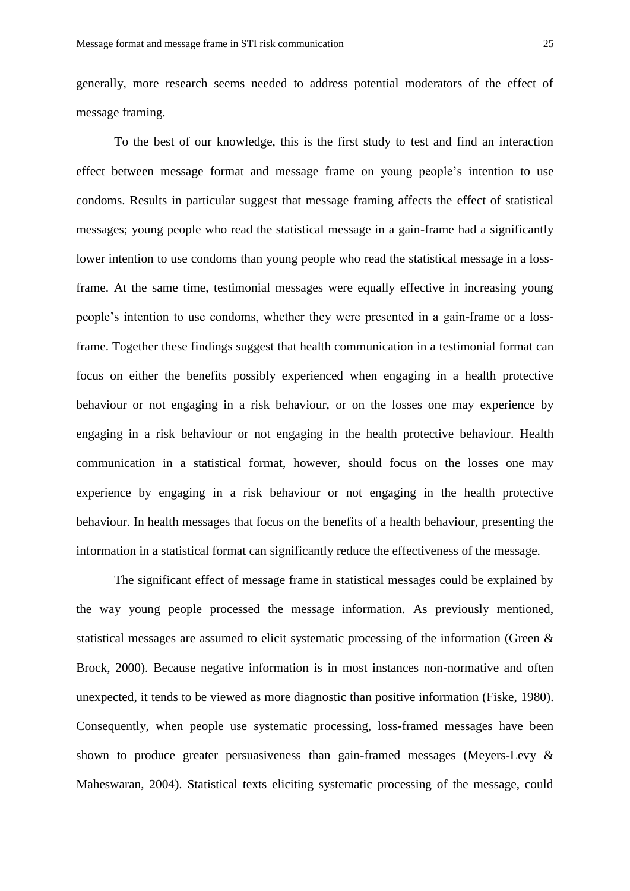generally, more research seems needed to address potential moderators of the effect of message framing.

To the best of our knowledge, this is the first study to test and find an interaction effect between message format and message frame on young people"s intention to use condoms. Results in particular suggest that message framing affects the effect of statistical messages; young people who read the statistical message in a gain-frame had a significantly lower intention to use condoms than young people who read the statistical message in a lossframe. At the same time, testimonial messages were equally effective in increasing young people"s intention to use condoms, whether they were presented in a gain-frame or a lossframe. Together these findings suggest that health communication in a testimonial format can focus on either the benefits possibly experienced when engaging in a health protective behaviour or not engaging in a risk behaviour, or on the losses one may experience by engaging in a risk behaviour or not engaging in the health protective behaviour. Health communication in a statistical format, however, should focus on the losses one may experience by engaging in a risk behaviour or not engaging in the health protective behaviour. In health messages that focus on the benefits of a health behaviour, presenting the information in a statistical format can significantly reduce the effectiveness of the message.

The significant effect of message frame in statistical messages could be explained by the way young people processed the message information. As previously mentioned, statistical messages are assumed to elicit systematic processing of the information (Green & Brock, 2000). Because negative information is in most instances non-normative and often unexpected, it tends to be viewed as more diagnostic than positive information (Fiske, 1980). Consequently, when people use systematic processing, loss-framed messages have been shown to produce greater persuasiveness than gain-framed messages (Meyers-Levy & Maheswaran, 2004). Statistical texts eliciting systematic processing of the message, could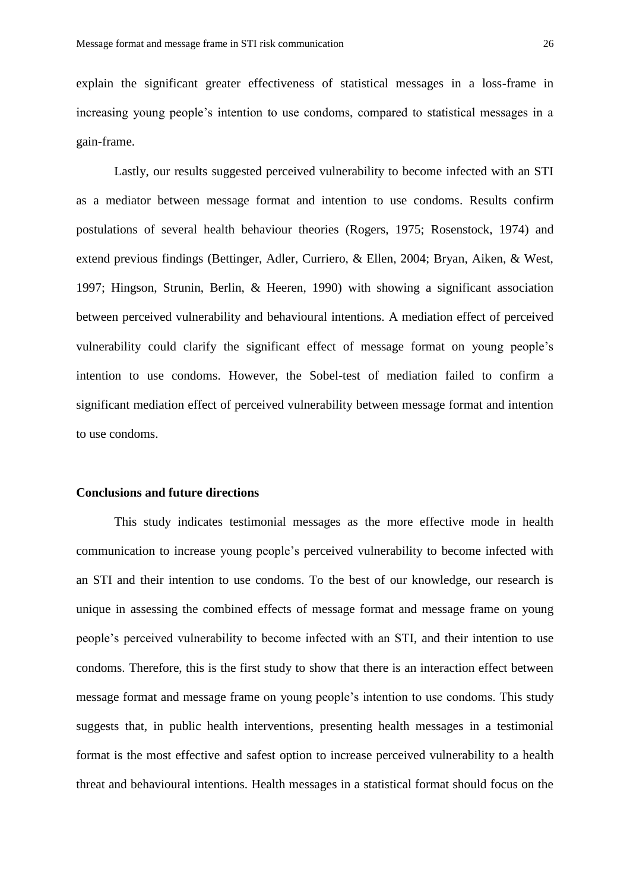explain the significant greater effectiveness of statistical messages in a loss-frame in increasing young people"s intention to use condoms, compared to statistical messages in a gain-frame.

Lastly, our results suggested perceived vulnerability to become infected with an STI as a mediator between message format and intention to use condoms. Results confirm postulations of several health behaviour theories (Rogers, 1975; Rosenstock, 1974) and extend previous findings (Bettinger, Adler, Curriero, & Ellen, 2004; Bryan, Aiken, & West, 1997; Hingson, Strunin, Berlin, & Heeren, 1990) with showing a significant association between perceived vulnerability and behavioural intentions. A mediation effect of perceived vulnerability could clarify the significant effect of message format on young people"s intention to use condoms. However, the Sobel-test of mediation failed to confirm a significant mediation effect of perceived vulnerability between message format and intention to use condoms.

#### **Conclusions and future directions**

This study indicates testimonial messages as the more effective mode in health communication to increase young people"s perceived vulnerability to become infected with an STI and their intention to use condoms. To the best of our knowledge, our research is unique in assessing the combined effects of message format and message frame on young people"s perceived vulnerability to become infected with an STI, and their intention to use condoms. Therefore, this is the first study to show that there is an interaction effect between message format and message frame on young people"s intention to use condoms. This study suggests that, in public health interventions, presenting health messages in a testimonial format is the most effective and safest option to increase perceived vulnerability to a health threat and behavioural intentions. Health messages in a statistical format should focus on the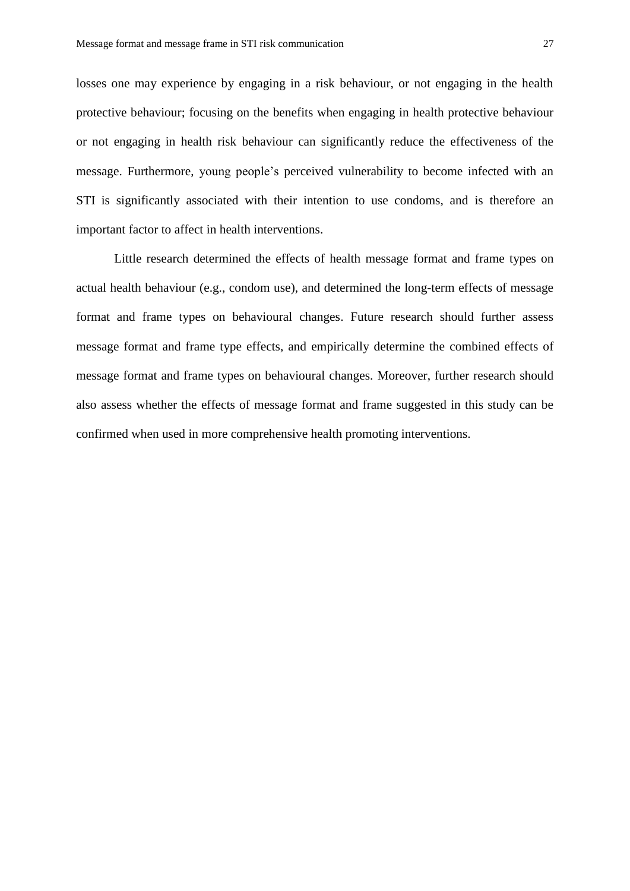losses one may experience by engaging in a risk behaviour, or not engaging in the health protective behaviour; focusing on the benefits when engaging in health protective behaviour or not engaging in health risk behaviour can significantly reduce the effectiveness of the message. Furthermore, young people"s perceived vulnerability to become infected with an STI is significantly associated with their intention to use condoms, and is therefore an important factor to affect in health interventions.

Little research determined the effects of health message format and frame types on actual health behaviour (e.g., condom use), and determined the long-term effects of message format and frame types on behavioural changes. Future research should further assess message format and frame type effects, and empirically determine the combined effects of message format and frame types on behavioural changes. Moreover, further research should also assess whether the effects of message format and frame suggested in this study can be confirmed when used in more comprehensive health promoting interventions.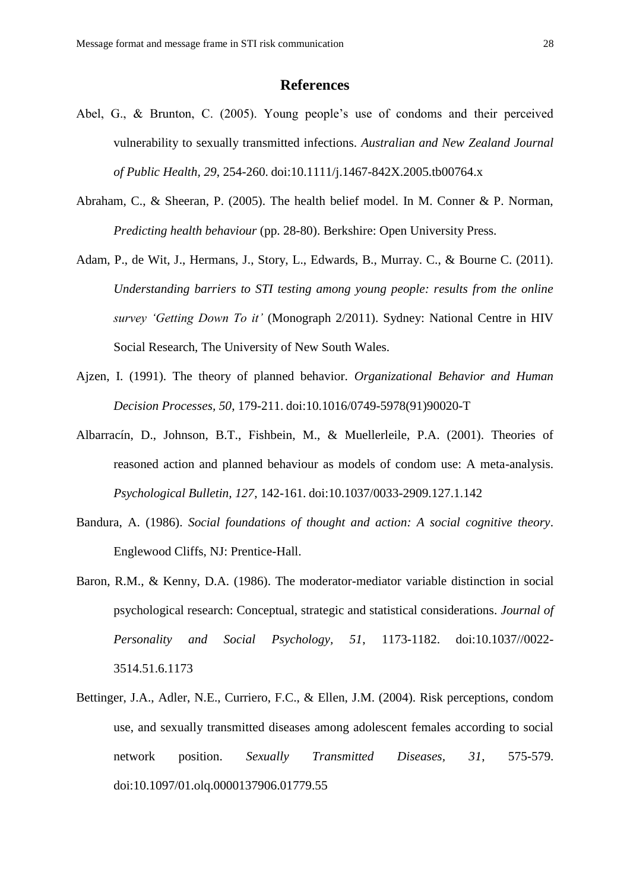# **References**

- Abel, G., & Brunton, C. (2005). Young people's use of condoms and their perceived vulnerability to sexually transmitted infections. *Australian and New Zealand Journal of Public Health, 29*, 254-260. doi:10.1111/j.1467-842X.2005.tb00764.x
- Abraham, C., & Sheeran, P. (2005). The health belief model. In M. Conner & P. Norman, *Predicting health behaviour* (pp. 28-80). Berkshire: Open University Press.
- Adam, P., de Wit, J., Hermans, J., Story, L., Edwards, B., Murray. C., & Bourne C. (2011). *Understanding barriers to STI testing among young people: results from the online survey 'Getting Down To it'* (Monograph 2/2011). Sydney: National Centre in HIV Social Research, The University of New South Wales.
- Ajzen, I. (1991). The theory of planned behavior. *Organizational Behavior and Human Decision Processes, 50*, 179-211. doi:10.1016/0749-5978(91)90020-T
- Albarracín, D., Johnson, B.T., Fishbein, M., & Muellerleile, P.A. (2001). Theories of reasoned action and planned behaviour as models of condom use: A meta-analysis. *Psychological Bulletin, 127*, 142-161. doi:10.1037/0033-2909.127.1.142
- Bandura, A. (1986). *Social foundations of thought and action: A social cognitive theory*. Englewood Cliffs, NJ: Prentice-Hall.
- Baron, R.M., & Kenny, D.A. (1986). The moderator-mediator variable distinction in social psychological research: Conceptual, strategic and statistical considerations. *Journal of Personality and Social Psychology, 51*, 1173-1182. doi:10.1037//0022- 3514.51.6.1173
- Bettinger, J.A., Adler, N.E., Curriero, F.C., & Ellen, J.M. (2004). Risk perceptions, condom use, and sexually transmitted diseases among adolescent females according to social network position. *Sexually Transmitted Diseases, 31*, 575-579. doi:10.1097/01.olq.0000137906.01779.55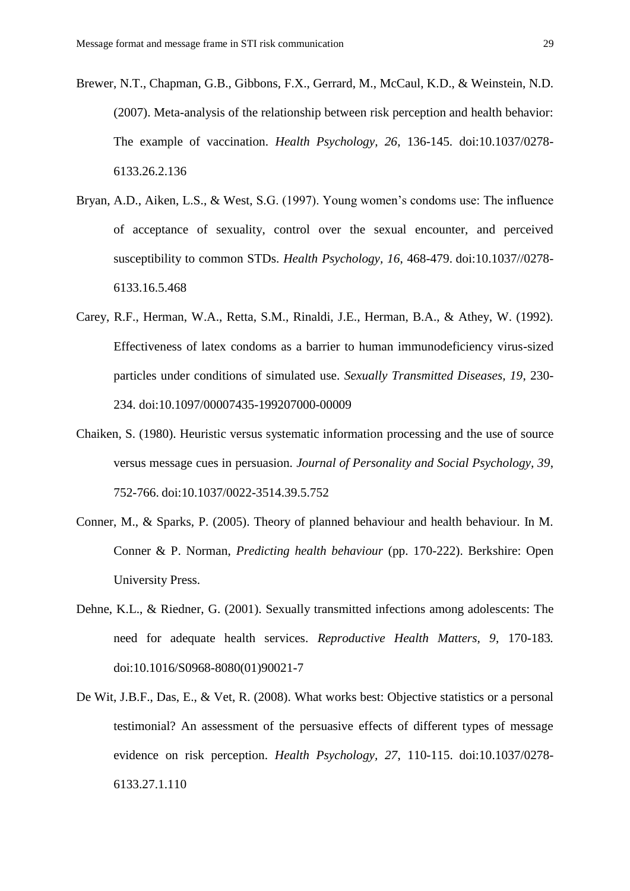- Brewer, N.T., Chapman, G.B., Gibbons, F.X., Gerrard, M., McCaul, K.D., & Weinstein, N.D. (2007). Meta-analysis of the relationship between risk perception and health behavior: The example of vaccination. *Health Psychology, 26*, 136-145. doi:10.1037/0278- 6133.26.2.136
- Bryan, A.D., Aiken, L.S., & West, S.G. (1997). Young women"s condoms use: The influence of acceptance of sexuality, control over the sexual encounter, and perceived susceptibility to common STDs. *Health Psychology, 16*, 468-479. doi:10.1037//0278- 6133.16.5.468
- Carey, R.F., Herman, W.A., Retta, S.M., Rinaldi, J.E., Herman, B.A., & Athey, W. (1992). Effectiveness of latex condoms as a barrier to human immunodeficiency virus-sized particles under conditions of simulated use. *Sexually Transmitted Diseases, 19*, 230- 234. doi:10.1097/00007435-199207000-00009
- Chaiken, S. (1980). Heuristic versus systematic information processing and the use of source versus message cues in persuasion. *Journal of Personality and Social Psychology, 39*, 752-766. doi:10.1037/0022-3514.39.5.752
- Conner, M., & Sparks, P. (2005). Theory of planned behaviour and health behaviour. In M. Conner & P. Norman, *Predicting health behaviour* (pp. 170-222). Berkshire: Open University Press.
- Dehne, K.L., & Riedner, G. (2001). Sexually transmitted infections among adolescents: The need for adequate health services. *Reproductive Health Matters, 9*, 170-183*.* doi:10.1016/S0968-8080(01)90021-7
- De Wit, J.B.F., Das, E., & Vet, R. (2008). What works best: Objective statistics or a personal testimonial? An assessment of the persuasive effects of different types of message evidence on risk perception. *Health Psychology, 27*, 110-115. doi:10.1037/0278- 6133.27.1.110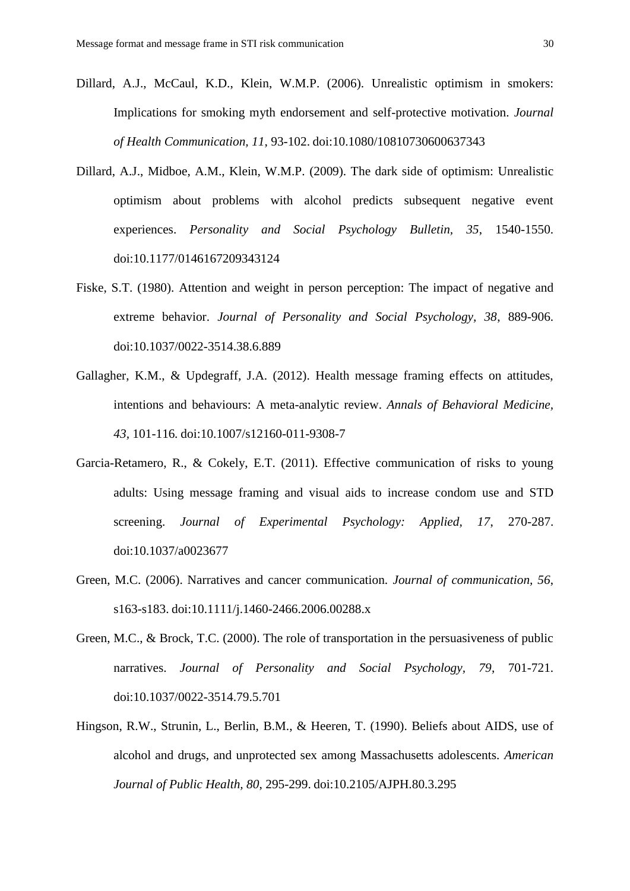- Dillard, A.J., McCaul, K.D., Klein, W.M.P. (2006). Unrealistic optimism in smokers: Implications for smoking myth endorsement and self-protective motivation. *Journal of Health Communication, 11*, 93-102. doi:10.1080/10810730600637343
- Dillard, A.J., Midboe, A.M., Klein, W.M.P. (2009). The dark side of optimism: Unrealistic optimism about problems with alcohol predicts subsequent negative event experiences. *Personality and Social Psychology Bulletin, 35*, 1540-1550. doi:10.1177/0146167209343124
- Fiske, S.T. (1980). Attention and weight in person perception: The impact of negative and extreme behavior. *Journal of Personality and Social Psychology, 38*, 889-906. doi:10.1037/0022-3514.38.6.889
- Gallagher, K.M., & Updegraff, J.A. (2012). Health message framing effects on attitudes, intentions and behaviours: A meta-analytic review. *Annals of Behavioral Medicine, 43,* 101-116*.* doi:10.1007/s12160-011-9308-7
- Garcia-Retamero, R., & Cokely, E.T. (2011). Effective communication of risks to young adults: Using message framing and visual aids to increase condom use and STD screening. *Journal of Experimental Psychology: Applied, 17*, 270-287. doi:10.1037/a0023677
- Green, M.C. (2006). Narratives and cancer communication. *Journal of communication, 56*, s163-s183. doi:10.1111/j.1460-2466.2006.00288.x
- Green, M.C., & Brock, T.C. (2000). The role of transportation in the persuasiveness of public narratives. *Journal of Personality and Social Psychology, 79*, 701-721. doi:10.1037/0022-3514.79.5.701
- Hingson, R.W., Strunin, L., Berlin, B.M., & Heeren, T. (1990). Beliefs about AIDS, use of alcohol and drugs, and unprotected sex among Massachusetts adolescents. *American Journal of Public Health, 80*, 295-299. doi:10.2105/AJPH.80.3.295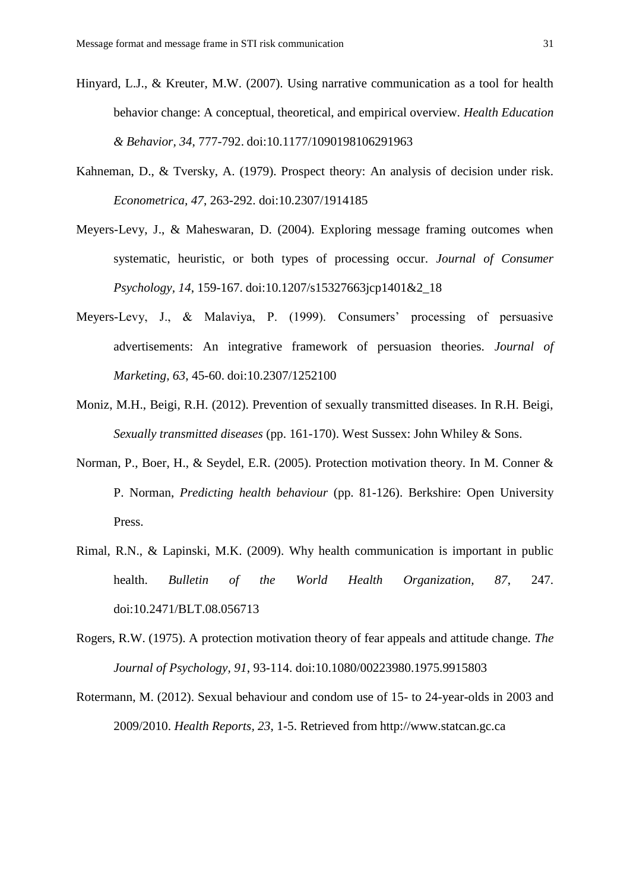- Hinyard, L.J., & Kreuter, M.W. (2007). Using narrative communication as a tool for health behavior change: A conceptual, theoretical, and empirical overview. *Health Education & Behavior, 34*, 777-792. doi:10.1177/1090198106291963
- Kahneman, D., & Tversky, A. (1979). Prospect theory: An analysis of decision under risk. *Econometrica, 47*, 263-292. doi:10.2307/1914185
- Meyers-Levy, J., & Maheswaran, D. (2004). Exploring message framing outcomes when systematic, heuristic, or both types of processing occur. *Journal of Consumer Psychology, 14*, 159-167. doi:10.1207/s15327663jcp1401&2\_18
- Meyers-Levy, J., & Malaviya, P. (1999). Consumers' processing of persuasive advertisements: An integrative framework of persuasion theories. *Journal of Marketing, 63*, 45-60. doi:10.2307/1252100
- Moniz, M.H., Beigi, R.H. (2012). Prevention of sexually transmitted diseases. In R.H. Beigi, *Sexually transmitted diseases* (pp. 161-170). West Sussex: John Whiley & Sons.
- Norman, P., Boer, H., & Seydel, E.R. (2005). Protection motivation theory. In M. Conner & P. Norman, *Predicting health behaviour* (pp. 81-126). Berkshire: Open University Press.
- Rimal, R.N., & Lapinski, M.K. (2009). Why health communication is important in public health. *Bulletin of the World Health Organization, 87*, 247. doi:10.2471/BLT.08.056713
- Rogers, R.W. (1975). A protection motivation theory of fear appeals and attitude change. *The Journal of Psychology, 91*, 93-114. doi:10.1080/00223980.1975.9915803
- Rotermann, M. (2012). Sexual behaviour and condom use of 15- to 24-year-olds in 2003 and 2009/2010. *Health Reports, 23*, 1-5. Retrieved from http://www.statcan.gc.ca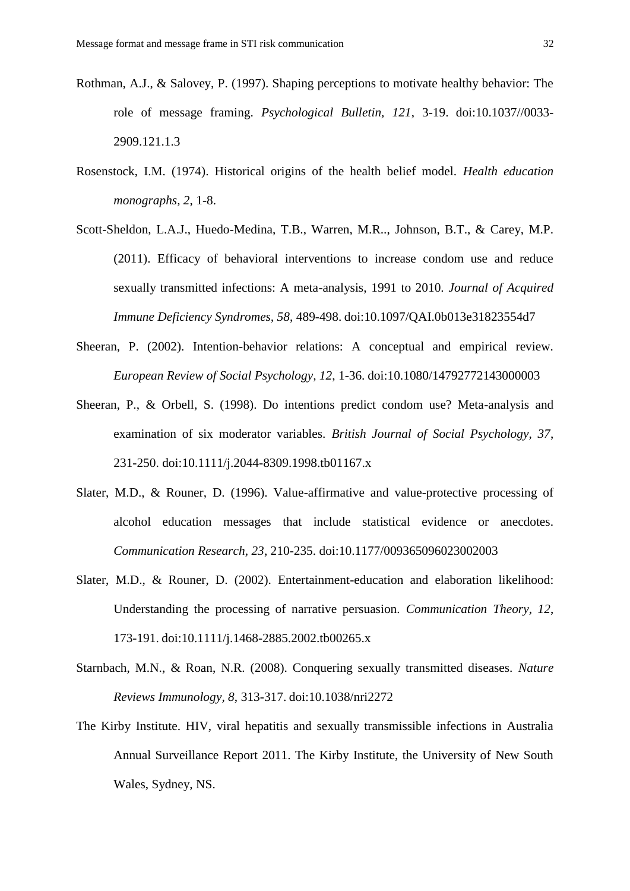- Rothman, A.J., & Salovey, P. (1997). Shaping perceptions to motivate healthy behavior: The role of message framing. *Psychological Bulletin, 121*, 3-19. doi:10.1037//0033- 2909.121.1.3
- Rosenstock, I.M. (1974). Historical origins of the health belief model. *Health education monographs, 2*, 1-8.
- Scott-Sheldon, L.A.J., Huedo-Medina, T.B., Warren, M.R.., Johnson, B.T., & Carey, M.P. (2011). Efficacy of behavioral interventions to increase condom use and reduce sexually transmitted infections: A meta-analysis, 1991 to 2010. *Journal of Acquired Immune Deficiency Syndromes, 58*, 489-498. doi:10.1097/QAI.0b013e31823554d7
- Sheeran, P. (2002). Intention-behavior relations: A conceptual and empirical review. *European Review of Social Psychology, 12*, 1-36. doi:10.1080/14792772143000003
- Sheeran, P., & Orbell, S. (1998). Do intentions predict condom use? Meta-analysis and examination of six moderator variables. *British Journal of Social Psychology, 37*, 231-250. doi:10.1111/j.2044-8309.1998.tb01167.x
- Slater, M.D., & Rouner, D. (1996). Value-affirmative and value-protective processing of alcohol education messages that include statistical evidence or anecdotes. *Communication Research, 23*, 210-235. doi:10.1177/009365096023002003
- Slater, M.D., & Rouner, D. (2002). Entertainment-education and elaboration likelihood: Understanding the processing of narrative persuasion. *Communication Theory, 12*, 173-191. doi:10.1111/j.1468-2885.2002.tb00265.x
- Starnbach, M.N., & Roan, N.R. (2008). Conquering sexually transmitted diseases. *Nature Reviews Immunology, 8*, 313-317. doi:10.1038/nri2272
- The Kirby Institute. HIV, viral hepatitis and sexually transmissible infections in Australia Annual Surveillance Report 2011. The Kirby Institute, the University of New South Wales, Sydney, NS.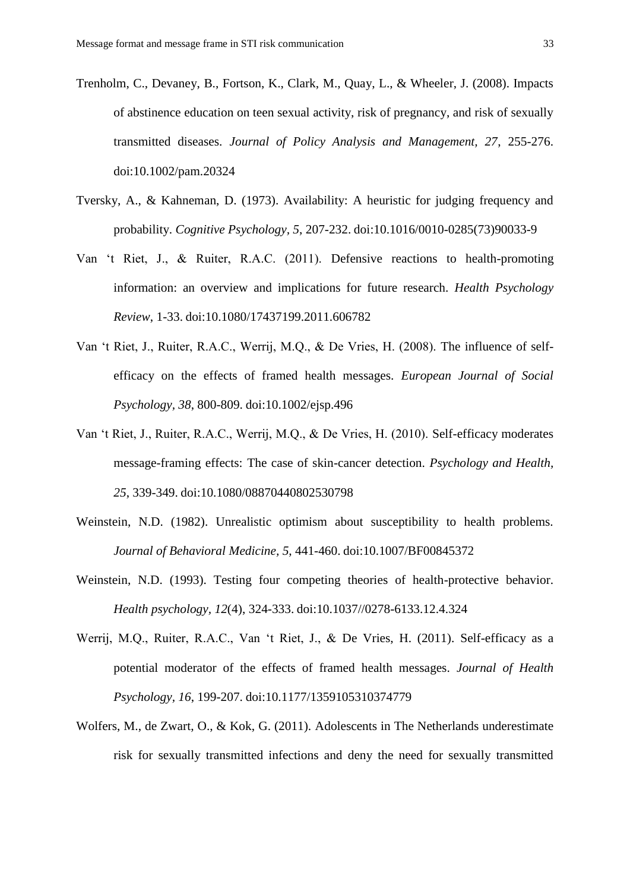- Trenholm, C., Devaney, B., Fortson, K., Clark, M., Quay, L., & Wheeler, J. (2008). Impacts of abstinence education on teen sexual activity, risk of pregnancy, and risk of sexually transmitted diseases. *Journal of Policy Analysis and Management, 27*, 255-276. doi:10.1002/pam.20324
- Tversky, A., & Kahneman, D. (1973). Availability: A heuristic for judging frequency and probability. *Cognitive Psychology, 5*, 207-232. doi:10.1016/0010-0285(73)90033-9
- Van "t Riet, J., & Ruiter, R.A.C. (2011). Defensive reactions to health-promoting information: an overview and implications for future research. *Health Psychology Review*, 1-33. doi:10.1080/17437199.2011.606782
- Van "t Riet, J., Ruiter, R.A.C., Werrij, M.Q., & De Vries, H. (2008). The influence of selfefficacy on the effects of framed health messages. *European Journal of Social Psychology, 38*, 800-809. doi:10.1002/ejsp.496
- Van "t Riet, J., Ruiter, R.A.C., Werrij, M.Q., & De Vries, H. (2010). Self-efficacy moderates message-framing effects: The case of skin-cancer detection. *Psychology and Health, 25*, 339-349. doi:10.1080/08870440802530798
- Weinstein, N.D. (1982). Unrealistic optimism about susceptibility to health problems. *Journal of Behavioral Medicine, 5*, 441-460. doi:10.1007/BF00845372
- Weinstein, N.D. (1993). Testing four competing theories of health-protective behavior. *Health psychology, 12*(4), 324-333. doi:10.1037//0278-6133.12.4.324
- Werrij, M.Q., Ruiter, R.A.C., Van 't Riet, J., & De Vries, H. (2011). Self-efficacy as a potential moderator of the effects of framed health messages. *Journal of Health Psychology, 16*, 199-207. doi:10.1177/1359105310374779
- Wolfers, M., de Zwart, O., & Kok, G. (2011). Adolescents in The Netherlands underestimate risk for sexually transmitted infections and deny the need for sexually transmitted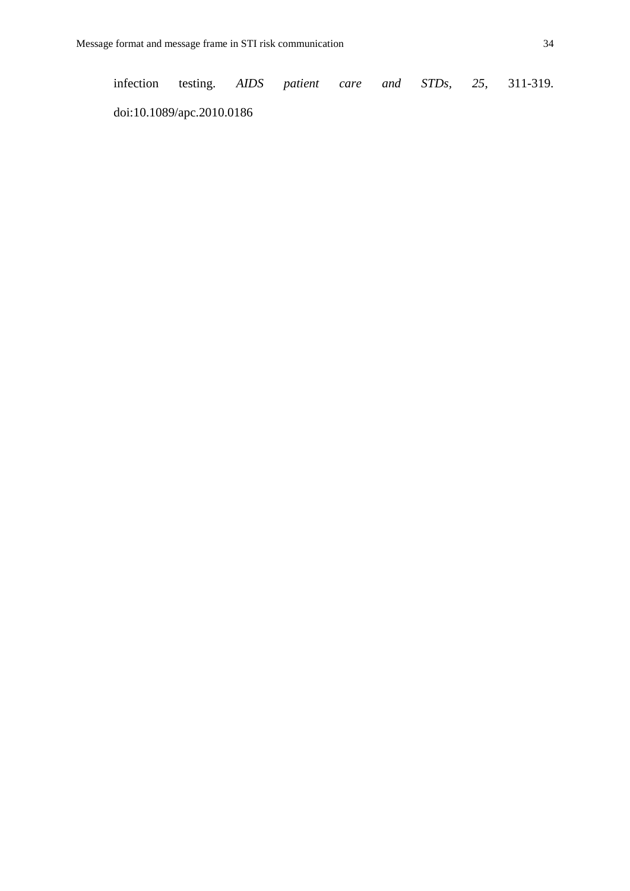| infection testing. AIDS patient care and STDs, 25, 311-319. |  |  |  |  |
|-------------------------------------------------------------|--|--|--|--|
|                                                             |  |  |  |  |

doi:10.1089/apc.2010.0186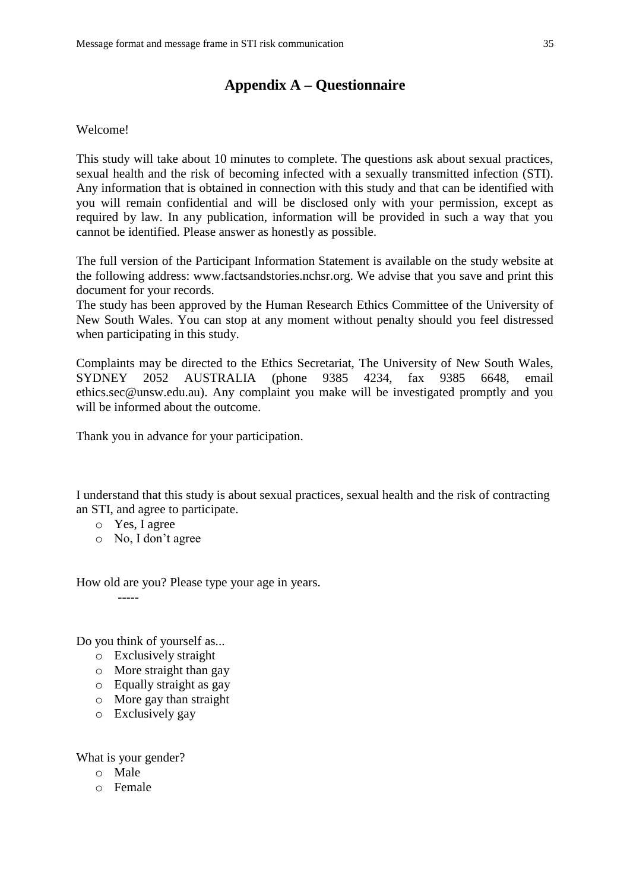# **Appendix A – Questionnaire**

### Welcome!

This study will take about 10 minutes to complete. The questions ask about sexual practices, sexual health and the risk of becoming infected with a sexually transmitted infection (STI). Any information that is obtained in connection with this study and that can be identified with you will remain confidential and will be disclosed only with your permission, except as required by law. In any publication, information will be provided in such a way that you cannot be identified. Please answer as honestly as possible.

The full version of the Participant Information Statement is available on the study website at the following address: www.factsandstories.nchsr.org. We advise that you save and print this document for your records.

The study has been approved by the Human Research Ethics Committee of the University of New South Wales. You can stop at any moment without penalty should you feel distressed when participating in this study.

Complaints may be directed to the Ethics Secretariat, The University of New South Wales, SYDNEY 2052 AUSTRALIA (phone 9385 4234, fax 9385 6648, email ethics.sec@unsw.edu.au). Any complaint you make will be investigated promptly and you will be informed about the outcome.

Thank you in advance for your participation.

I understand that this study is about sexual practices, sexual health and the risk of contracting an STI, and agree to participate.

- o Yes, I agree
- o No, I don"t agree

How old are you? Please type your age in years.

-----

Do you think of yourself as...

- o Exclusively straight
- o More straight than gay
- o Equally straight as gay
- o More gay than straight
- o Exclusively gay

What is your gender?

- o Male
- o Female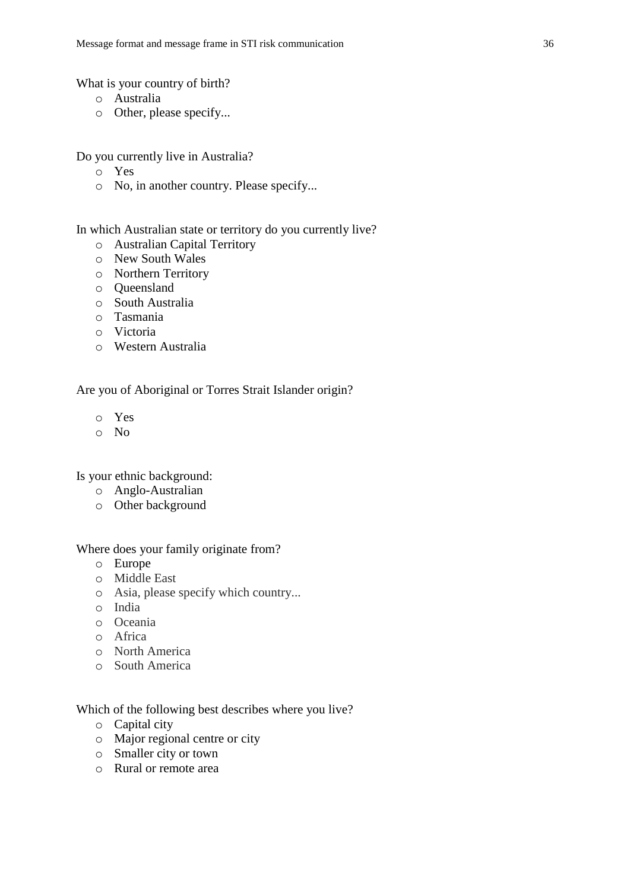What is your country of birth?

- o Australia
- o Other, please specify...

Do you currently live in Australia?

- o Yes
- o No, in another country. Please specify...

# In which Australian state or territory do you currently live?

- o Australian Capital Territory
- o New South Wales
- o Northern Territory
- o Queensland
- o South Australia
- o Tasmania
- o Victoria
- o Western Australia

Are you of Aboriginal or Torres Strait Islander origin?

- o Yes
- o No

Is your ethnic background:

- o Anglo-Australian
- o Other background

### Where does your family originate from?

- o Europe
- o Middle East
- o Asia, please specify which country...
- o India
- o Oceania
- o Africa
- o North America
- o South America

Which of the following best describes where you live?

- o Capital city
- o Major regional centre or city
- o Smaller city or town
- o Rural or remote area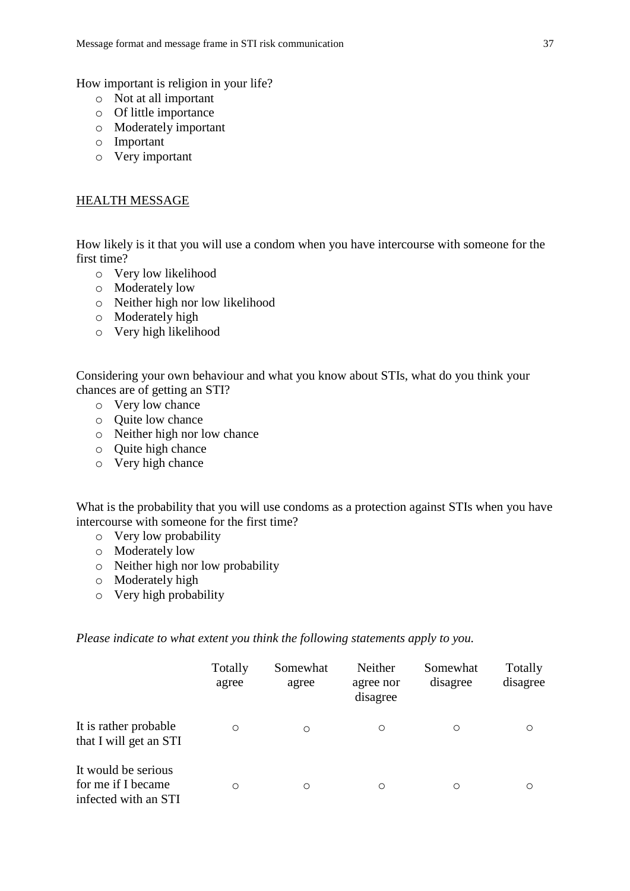How important is religion in your life?

- o Not at all important
- o Of little importance
- o Moderately important
- o Important
- o Very important

### HEALTH MESSAGE

How likely is it that you will use a condom when you have intercourse with someone for the first time?

- o Very low likelihood
- o Moderately low
- o Neither high nor low likelihood
- o Moderately high
- o Very high likelihood

Considering your own behaviour and what you know about STIs, what do you think your chances are of getting an STI?

- o Very low chance
- o Quite low chance
- o Neither high nor low chance
- o Quite high chance
- o Very high chance

What is the probability that you will use condoms as a protection against STIs when you have intercourse with someone for the first time?

- o Very low probability
- o Moderately low
- o Neither high nor low probability
- o Moderately high
- o Very high probability

*Please indicate to what extent you think the following statements apply to you.* 

|                                                                   | Totally<br>agree | Somewhat<br>agree | Neither<br>agree nor<br>disagree | Somewhat<br>disagree | Totally<br>disagree |
|-------------------------------------------------------------------|------------------|-------------------|----------------------------------|----------------------|---------------------|
| It is rather probable<br>that I will get an STI                   | O                | $\circ$           | $\circ$                          | O                    | $\circ$             |
| It would be serious<br>for me if I became<br>infected with an STI | $\circ$          | $\circ$           | $\circ$                          | O                    | $\circ$             |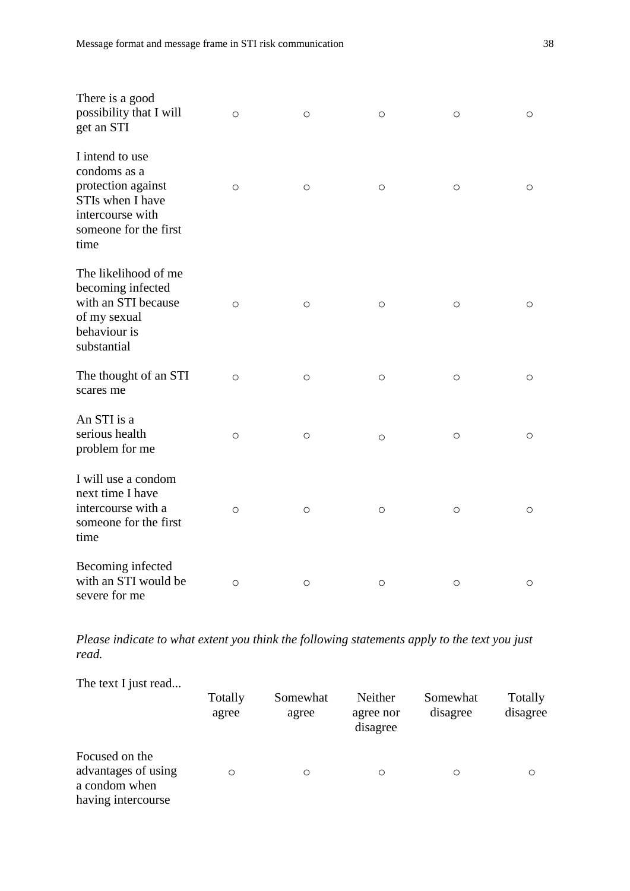| There is a good<br>possibility that I will<br>get an STI                                                                       | O                   | O       | $\circ$             | O       | O       |
|--------------------------------------------------------------------------------------------------------------------------------|---------------------|---------|---------------------|---------|---------|
| I intend to use<br>condoms as a<br>protection against<br>STIs when I have<br>intercourse with<br>someone for the first<br>time | $\circ$             | $\circ$ | $\circ$             | $\circ$ | O       |
| The likelihood of me<br>becoming infected<br>with an STI because<br>of my sexual<br>behaviour is<br>substantial                | $\circ$             | $\circ$ | $\circlearrowright$ | $\circ$ | $\circ$ |
| The thought of an STI<br>scares me                                                                                             | $\circ$             | $\circ$ | $\circlearrowright$ | $\circ$ | $\circ$ |
| An STI is a<br>serious health<br>problem for me                                                                                | $\circlearrowright$ | $\circ$ | $\circ$             | $\circ$ | $\circ$ |
| I will use a condom<br>next time I have<br>intercourse with a<br>someone for the first<br>time                                 | $\circ$             | $\circ$ | $\circlearrowright$ | $\circ$ | O       |
| Becoming infected<br>with an STI would be<br>severe for me                                                                     | $\circ$             | $\circ$ | $\circ$             | O       | O       |

*Please indicate to what extent you think the following statements apply to the text you just read.*

The text I just read...

|                                                                              | Totally<br>agree | Somewhat<br>agree | Neither<br>agree nor<br>disagree | Somewhat<br>disagree | Totally<br>disagree |
|------------------------------------------------------------------------------|------------------|-------------------|----------------------------------|----------------------|---------------------|
| Focused on the<br>advantages of using<br>a condom when<br>having intercourse | O                | O                 | O                                | O                    | $\circ$             |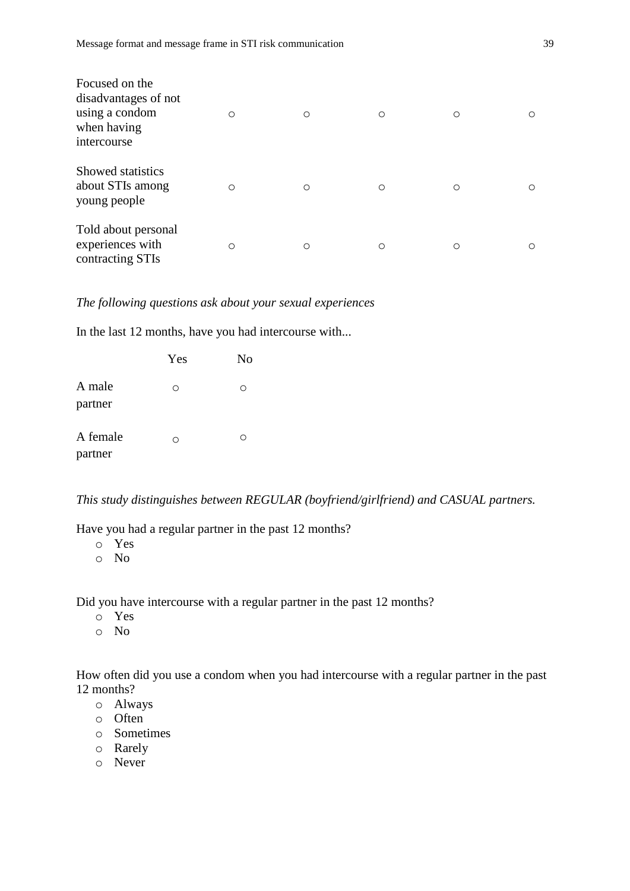| Focused on the<br>disadvantages of not<br>using a condom<br>when having<br>intercourse | O | $\circ$ | O | O | O |
|----------------------------------------------------------------------------------------|---|---------|---|---|---|
| Showed statistics<br>about STIs among<br>young people                                  | O | O       | O | O | O |
| Told about personal<br>experiences with<br>contracting STIs                            | O | $\circ$ | O | O | ∩ |

*The following questions ask about your sexual experiences*

In the last 12 months, have you had intercourse with...

|                     | Yes | N <sub>o</sub> |
|---------------------|-----|----------------|
| A male<br>partner   | ∩   | ( )            |
| A female<br>partner | ∩   |                |

*This study distinguishes between REGULAR (boyfriend/girlfriend) and CASUAL partners.*

Have you had a regular partner in the past 12 months?

- o Yes
- o No

Did you have intercourse with a regular partner in the past 12 months?

- o Yes
- o No

How often did you use a condom when you had intercourse with a regular partner in the past 12 months?

- o Always
- o Often
- o Sometimes
- o Rarely
- o Never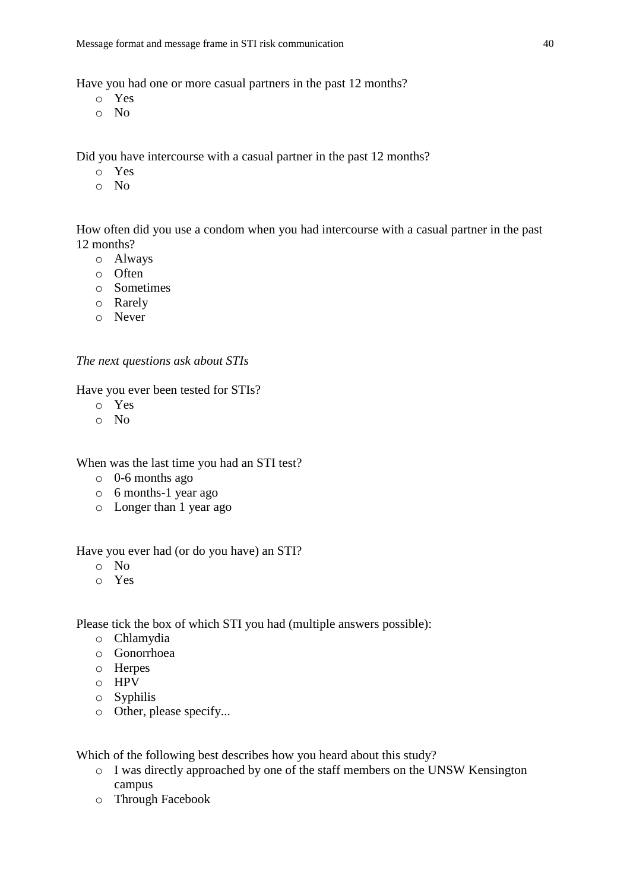Have you had one or more casual partners in the past 12 months?

- o Yes
- o No

Did you have intercourse with a casual partner in the past 12 months?

- o Yes
- o No

How often did you use a condom when you had intercourse with a casual partner in the past 12 months?

- o Always
- o Often
- o Sometimes
- o Rarely
- o Never

*The next questions ask about STIs*

Have you ever been tested for STIs?

- o Yes
- o No

When was the last time you had an STI test?

- o 0-6 months ago
- o 6 months-1 year ago
- o Longer than 1 year ago

Have you ever had (or do you have) an STI?

- o No
- o Yes

Please tick the box of which STI you had (multiple answers possible):

- o Chlamydia
- o Gonorrhoea
- o Herpes
- o HPV
- o Syphilis
- o Other, please specify...

Which of the following best describes how you heard about this study?

- o I was directly approached by one of the staff members on the UNSW Kensington campus
- o Through Facebook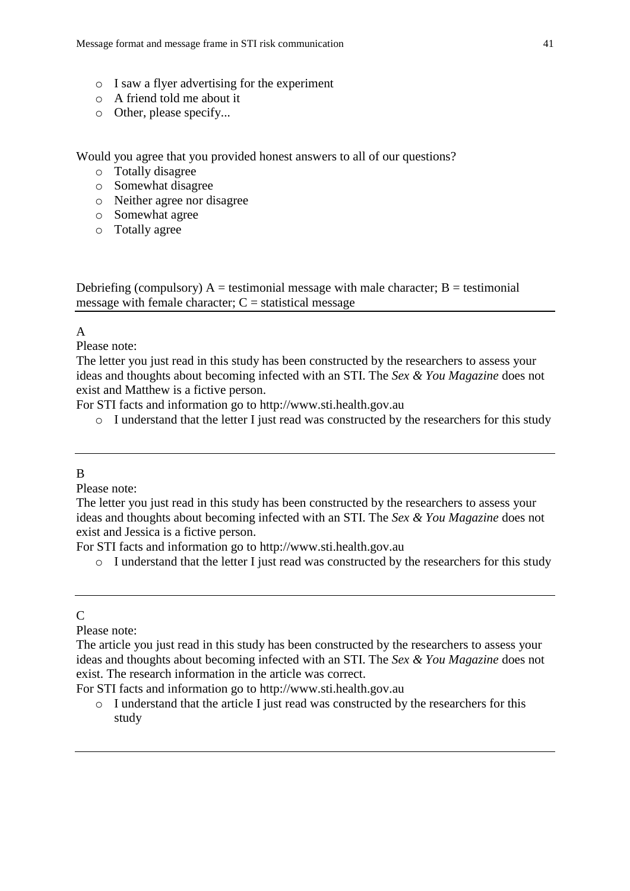- o I saw a flyer advertising for the experiment
- o A friend told me about it
- o Other, please specify...

Would you agree that you provided honest answers to all of our questions?

- o Totally disagree
- o Somewhat disagree
- o Neither agree nor disagree
- o Somewhat agree
- o Totally agree

Debriefing (compulsory)  $A =$  testimonial message with male character;  $B =$  testimonial message with female character;  $C =$  statistical message

# A

Please note:

The letter you just read in this study has been constructed by the researchers to assess your ideas and thoughts about becoming infected with an STI. The *Sex & You Magazine* does not exist and Matthew is a fictive person.

For STI facts and information go to http://www.sti.health.gov.au

o I understand that the letter I just read was constructed by the researchers for this study

# B

Please note:

The letter you just read in this study has been constructed by the researchers to assess your ideas and thoughts about becoming infected with an STI. The *Sex & You Magazine* does not exist and Jessica is a fictive person.

For STI facts and information go to http://www.sti.health.gov.au

o I understand that the letter I just read was constructed by the researchers for this study

# $\Gamma$

Please note:

The article you just read in this study has been constructed by the researchers to assess your ideas and thoughts about becoming infected with an STI. The *Sex & You Magazine* does not exist. The research information in the article was correct.

For STI facts and information go to http://www.sti.health.gov.au

o I understand that the article I just read was constructed by the researchers for this study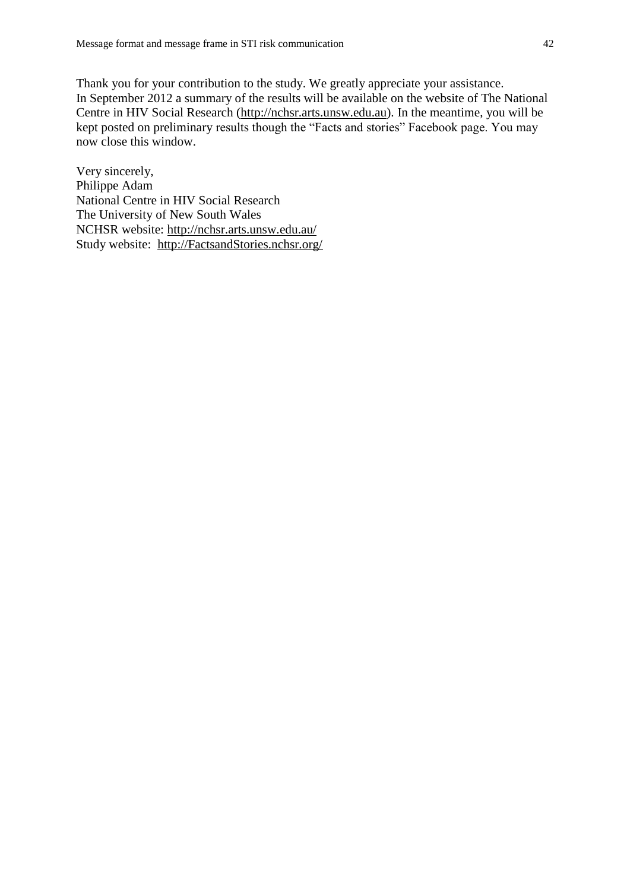Thank you for your contribution to the study. We greatly appreciate your assistance. In September 2012 a summary of the results will be available on the website of The National Centre in HIV Social Research [\(http://nchsr.arts.unsw.edu.au\)](http://nchsr.arts.unsw.edu.au/). In the meantime, you will be kept posted on preliminary results though the "Facts and stories" Facebook page. You may now close this window.

Very sincerely, Philippe Adam National Centre in HIV Social Research The University of New South Wales NCHSR website:<http://nchsr.arts.unsw.edu.au/> Study website: [http://FactsandStories.nchsr.org/](http://factsandstories.nchsr.org/)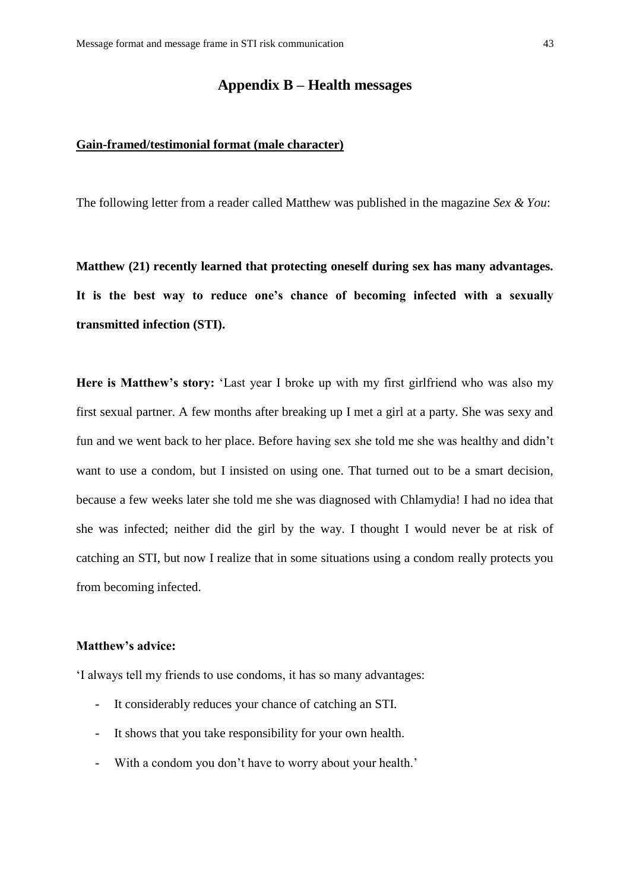# **Appendix B – Health messages**

### **Gain-framed/testimonial format (male character)**

The following letter from a reader called Matthew was published in the magazine *Sex & You*:

**Matthew (21) recently learned that protecting oneself during sex has many advantages. It is the best way to reduce one's chance of becoming infected with a sexually transmitted infection (STI).** 

**Here is Matthew's story:** "Last year I broke up with my first girlfriend who was also my first sexual partner. A few months after breaking up I met a girl at a party. She was sexy and fun and we went back to her place. Before having sex she told me she was healthy and didn"t want to use a condom, but I insisted on using one. That turned out to be a smart decision, because a few weeks later she told me she was diagnosed with Chlamydia! I had no idea that she was infected; neither did the girl by the way. I thought I would never be at risk of catching an STI, but now I realize that in some situations using a condom really protects you from becoming infected.

### **Matthew's advice:**

"I always tell my friends to use condoms, it has so many advantages:

- It considerably reduces your chance of catching an STI.
- It shows that you take responsibility for your own health.
- With a condom you don't have to worry about your health.'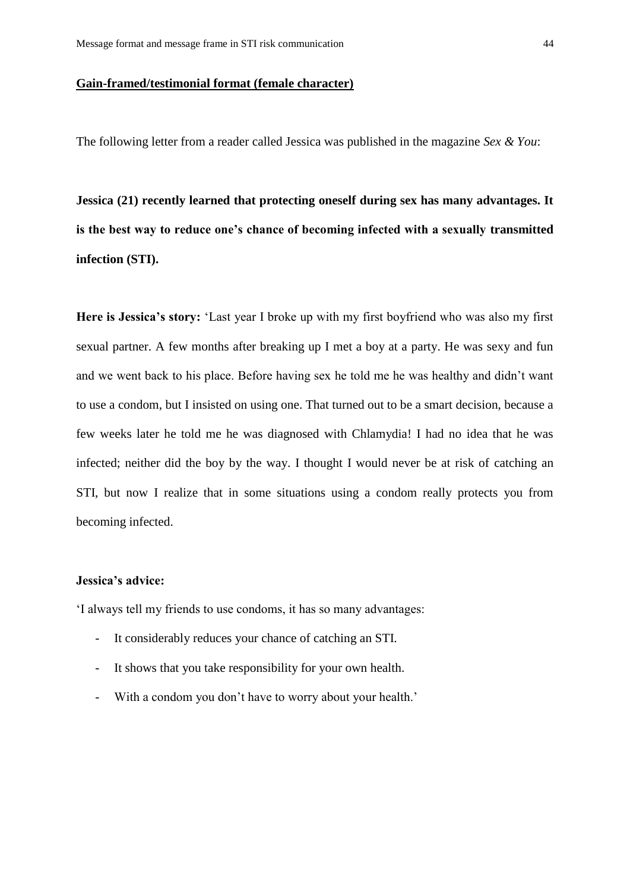#### **Gain-framed/testimonial format (female character)**

The following letter from a reader called Jessica was published in the magazine *Sex & You*:

**Jessica (21) recently learned that protecting oneself during sex has many advantages. It is the best way to reduce one's chance of becoming infected with a sexually transmitted infection (STI).** 

**Here is Jessica's story:** "Last year I broke up with my first boyfriend who was also my first sexual partner. A few months after breaking up I met a boy at a party. He was sexy and fun and we went back to his place. Before having sex he told me he was healthy and didn"t want to use a condom, but I insisted on using one. That turned out to be a smart decision, because a few weeks later he told me he was diagnosed with Chlamydia! I had no idea that he was infected; neither did the boy by the way. I thought I would never be at risk of catching an STI, but now I realize that in some situations using a condom really protects you from becoming infected.

### **Jessica's advice:**

"I always tell my friends to use condoms, it has so many advantages:

- It considerably reduces your chance of catching an STI.
- It shows that you take responsibility for your own health.
- With a condom you don't have to worry about your health.'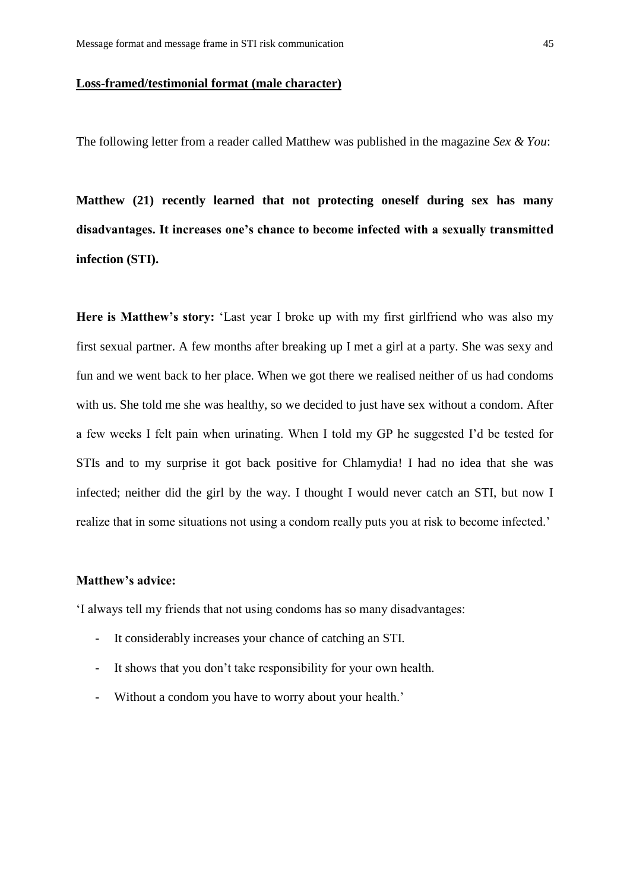#### **Loss-framed/testimonial format (male character)**

The following letter from a reader called Matthew was published in the magazine *Sex & You*:

**Matthew (21) recently learned that not protecting oneself during sex has many disadvantages. It increases one's chance to become infected with a sexually transmitted infection (STI).**

Here is Matthew's story: 'Last year I broke up with my first girlfriend who was also my first sexual partner. A few months after breaking up I met a girl at a party. She was sexy and fun and we went back to her place. When we got there we realised neither of us had condoms with us. She told me she was healthy, so we decided to just have sex without a condom. After a few weeks I felt pain when urinating. When I told my GP he suggested I"d be tested for STIs and to my surprise it got back positive for Chlamydia! I had no idea that she was infected; neither did the girl by the way. I thought I would never catch an STI, but now I realize that in some situations not using a condom really puts you at risk to become infected.'

### **Matthew's advice:**

"I always tell my friends that not using condoms has so many disadvantages:

- It considerably increases your chance of catching an STI.
- It shows that you don"t take responsibility for your own health.
- Without a condom you have to worry about your health."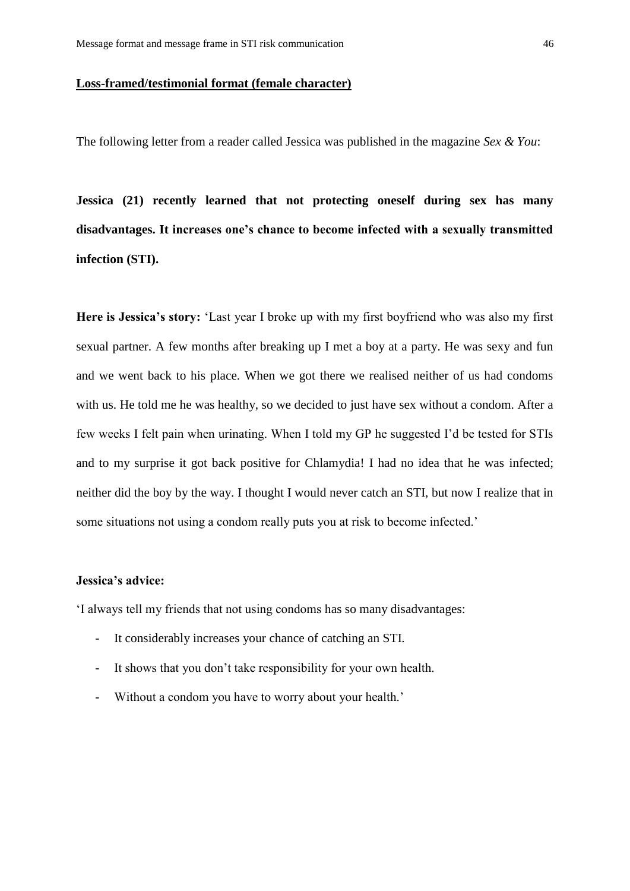#### **Loss-framed/testimonial format (female character)**

The following letter from a reader called Jessica was published in the magazine *Sex & You*:

**Jessica (21) recently learned that not protecting oneself during sex has many disadvantages. It increases one's chance to become infected with a sexually transmitted infection (STI).**

**Here is Jessica's story:** "Last year I broke up with my first boyfriend who was also my first sexual partner. A few months after breaking up I met a boy at a party. He was sexy and fun and we went back to his place. When we got there we realised neither of us had condoms with us. He told me he was healthy, so we decided to just have sex without a condom. After a few weeks I felt pain when urinating. When I told my GP he suggested I"d be tested for STIs and to my surprise it got back positive for Chlamydia! I had no idea that he was infected; neither did the boy by the way. I thought I would never catch an STI, but now I realize that in some situations not using a condom really puts you at risk to become infected.'

### **Jessica's advice:**

"I always tell my friends that not using condoms has so many disadvantages:

- It considerably increases your chance of catching an STI.
- It shows that you don"t take responsibility for your own health.
- Without a condom you have to worry about your health.'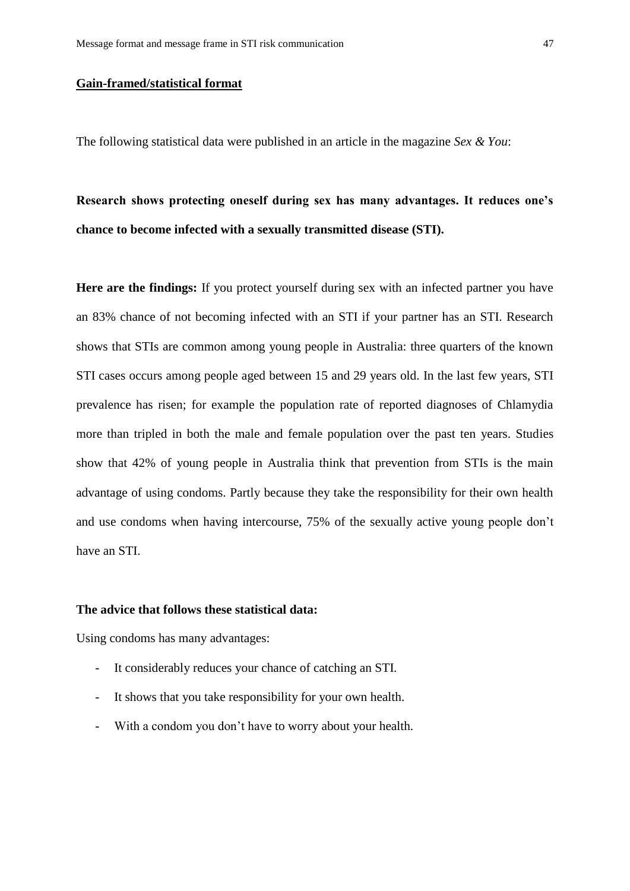### **Gain-framed/statistical format**

The following statistical data were published in an article in the magazine *Sex & You*:

**Research shows protecting oneself during sex has many advantages. It reduces one's chance to become infected with a sexually transmitted disease (STI).**

**Here are the findings:** If you protect yourself during sex with an infected partner you have an 83% chance of not becoming infected with an STI if your partner has an STI. Research shows that STIs are common among young people in Australia: three quarters of the known STI cases occurs among people aged between 15 and 29 years old. In the last few years, STI prevalence has risen; for example the population rate of reported diagnoses of Chlamydia more than tripled in both the male and female population over the past ten years. Studies show that 42% of young people in Australia think that prevention from STIs is the main advantage of using condoms. Partly because they take the responsibility for their own health and use condoms when having intercourse, 75% of the sexually active young people don"t have an STI.

# **The advice that follows these statistical data:**

Using condoms has many advantages:

- It considerably reduces your chance of catching an STI.
- It shows that you take responsibility for your own health.
- With a condom you don"t have to worry about your health.